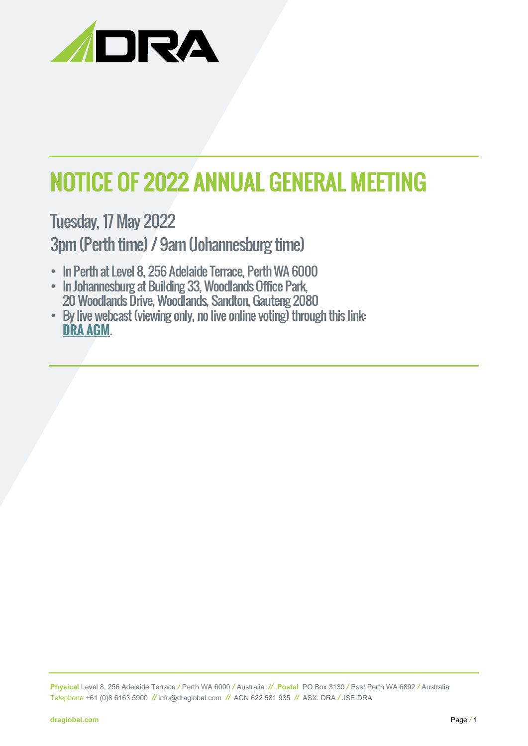

# NOTICE OF 2022 ANNUAL GENERAL MEETING

Tuesday, 17 May 2022 3pm (Perth time) / 9am (Johannesburg time)

- In Perth at Level 8, 256 Adelaide Terrace, Perth WA 6000
- In Johannesburg at Building 33, Woodlands Office Park, 20 Woodlands Drive, Woodlands, Sandton, Gauteng 2080
- By live webcast (viewing only, no live online voting) through this link: **[DRA AGM](https://teams.microsoft.com/l/meetup-join/19%3ameeting_Zjg4ODhhMTgtODI0Ny00YWE5LWIwYTItNTMxMzVjNjM4OGQ1%40thread.v2/0?context=%7b%22Tid%22%3a%227f654bf9-f195-42e4-a6a6-c679bffb9ebc%22%2c%22Oid%22%3a%22407e823d-0de5-430d-8c09-2642d34cb58a%22%2c%22IsBroadcastMeeting%22%3atrue%7d&btype=a&role=a)**.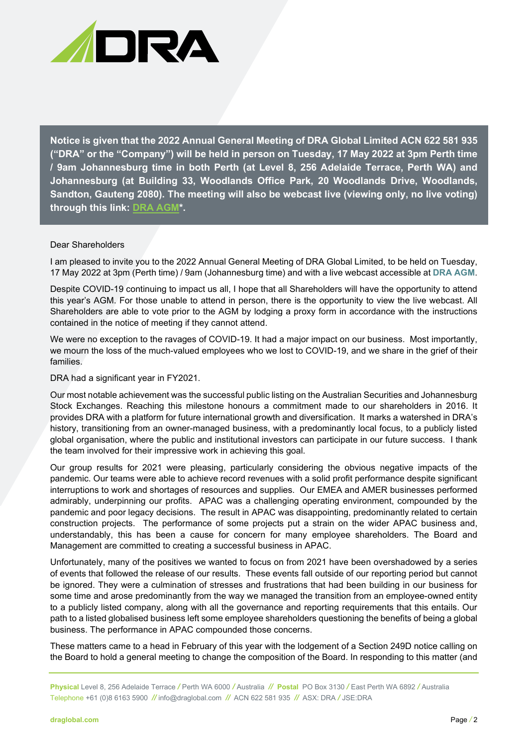

**Notice is given that the 2022 Annual General Meeting of DRA Global Limited ACN 622 581 935 ("DRA" or the "Company") will be held in person on Tuesday, 17 May 2022 at 3pm Perth time / 9am Johannesburg time in both Perth (at Level 8, 256 Adelaide Terrace, Perth WA) and Johannesburg (at Building 33, Woodlands Office Park, 20 Woodlands Drive, Woodlands, Sandton, Gauteng 2080). The meeting will also be webcast live (viewing only, no live voting) through this link: [DRA AGM\\*](https://teams.microsoft.com/l/meetup-join/19%3ameeting_Zjg4ODhhMTgtODI0Ny00YWE5LWIwYTItNTMxMzVjNjM4OGQ1%40thread.v2/0?context=%7b%22Tid%22%3a%227f654bf9-f195-42e4-a6a6-c679bffb9ebc%22%2c%22Oid%22%3a%22407e823d-0de5-430d-8c09-2642d34cb58a%22%2c%22IsBroadcastMeeting%22%3atrue%7d&btype=a&role=a).**

#### Dear Shareholders

I am pleased to invite you to the 2022 Annual General Meeting of DRA Global Limited, to be held on Tuesday, 17 May 2022 at 3pm (Perth time) / 9am (Johannesburg time) and with a live webcast accessible at **[DRA AGM](https://teams.microsoft.com/l/meetup-join/19%3ameeting_Zjg4ODhhMTgtODI0Ny00YWE5LWIwYTItNTMxMzVjNjM4OGQ1%40thread.v2/0?context=%7b%22Tid%22%3a%227f654bf9-f195-42e4-a6a6-c679bffb9ebc%22%2c%22Oid%22%3a%22407e823d-0de5-430d-8c09-2642d34cb58a%22%2c%22IsBroadcastMeeting%22%3atrue%7d&btype=a&role=a)**.

Despite COVID-19 continuing to impact us all, I hope that all Shareholders will have the opportunity to attend this year's AGM. For those unable to attend in person, there is the opportunity to view the live webcast. All Shareholders are able to vote prior to the AGM by lodging a proxy form in accordance with the instructions contained in the notice of meeting if they cannot attend.

We were no exception to the ravages of COVID-19. It had a major impact on our business. Most importantly, we mourn the loss of the much-valued employees who we lost to COVID-19, and we share in the grief of their families.

#### DRA had a significant year in FY2021.

Our most notable achievement was the successful public listing on the Australian Securities and Johannesburg Stock Exchanges. Reaching this milestone honours a commitment made to our shareholders in 2016. It provides DRA with a platform for future international growth and diversification. It marks a watershed in DRA's history, transitioning from an owner-managed business, with a predominantly local focus, to a publicly listed global organisation, where the public and institutional investors can participate in our future success. I thank the team involved for their impressive work in achieving this goal.

Our group results for 2021 were pleasing, particularly considering the obvious negative impacts of the pandemic. Our teams were able to achieve record revenues with a solid profit performance despite significant interruptions to work and shortages of resources and supplies. Our EMEA and AMER businesses performed admirably, underpinning our profits. APAC was a challenging operating environment, compounded by the pandemic and poor legacy decisions. The result in APAC was disappointing, predominantly related to certain construction projects. The performance of some projects put a strain on the wider APAC business and, understandably, this has been a cause for concern for many employee shareholders. The Board and Management are committed to creating a successful business in APAC.

Unfortunately, many of the positives we wanted to focus on from 2021 have been overshadowed by a series of events that followed the release of our results. These events fall outside of our reporting period but cannot be ignored. They were a culmination of stresses and frustrations that had been building in our business for some time and arose predominantly from the way we managed the transition from an employee-owned entity to a publicly listed company, along with all the governance and reporting requirements that this entails. Our path to a listed globalised business left some employee shareholders questioning the benefits of being a global business. The performance in APAC compounded those concerns.

These matters came to a head in February of this year with the lodgement of a Section 249D notice calling on the Board to hold a general meeting to change the composition of the Board. In responding to this matter (and

**Physical** Level 8, 256 Adelaide Terrace */* Perth WA 6000 */* Australia *//* **Postal** PO Box 3130 */* East Perth WA 6892 */* Australia Telephone +61 (0)8 6163 5900 *//* [info@draglobal.com](mailto:info@draglobal.com) *//* ACN 622 581 935*//* ASX: DRA */* JSE:DRA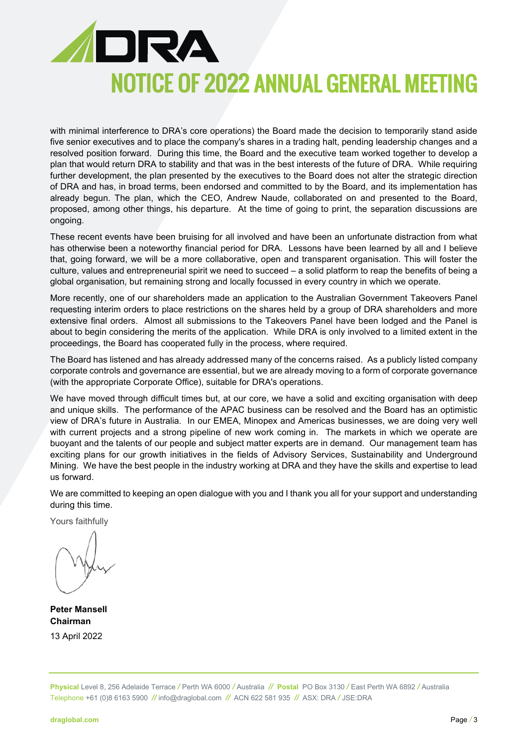

with minimal interference to DRA's core operations) the Board made the decision to temporarily stand aside five senior executives and to place the company's shares in a trading halt, pending leadership changes and a resolved position forward. During this time, the Board and the executive team worked together to develop a plan that would return DRA to stability and that was in the best interests of the future of DRA. While requiring further development, the plan presented by the executives to the Board does not alter the strategic direction of DRA and has, in broad terms, been endorsed and committed to by the Board, and its implementation has already begun. The plan, which the CEO, Andrew Naude, collaborated on and presented to the Board, proposed, among other things, his departure. At the time of going to print, the separation discussions are ongoing.

These recent events have been bruising for all involved and have been an unfortunate distraction from what has otherwise been a noteworthy financial period for DRA. Lessons have been learned by all and I believe that, going forward, we will be a more collaborative, open and transparent organisation. This will foster the culture, values and entrepreneurial spirit we need to succeed – a solid platform to reap the benefits of being a global organisation, but remaining strong and locally focussed in every country in which we operate.

More recently, one of our shareholders made an application to the Australian Government Takeovers Panel requesting interim orders to place restrictions on the shares held by a group of DRA shareholders and more extensive final orders. Almost all submissions to the Takeovers Panel have been lodged and the Panel is about to begin considering the merits of the application. While DRA is only involved to a limited extent in the proceedings, the Board has cooperated fully in the process, where required.

The Board has listened and has already addressed many of the concerns raised. As a publicly listed company corporate controls and governance are essential, but we are already moving to a form of corporate governance (with the appropriate Corporate Office), suitable for DRA's operations.

We have moved through difficult times but, at our core, we have a solid and exciting organisation with deep and unique skills. The performance of the APAC business can be resolved and the Board has an optimistic view of DRA's future in Australia. In our EMEA, Minopex and Americas businesses, we are doing very well with current projects and a strong pipeline of new work coming in. The markets in which we operate are buoyant and the talents of our people and subject matter experts are in demand. Our management team has exciting plans for our growth initiatives in the fields of Advisory Services, Sustainability and Underground Mining. We have the best people in the industry working at DRA and they have the skills and expertise to lead us forward.

We are committed to keeping an open dialogue with you and I thank you all for your support and understanding during this time.

Yours faithfully

**Peter Mansell Chairman** 13 April 2022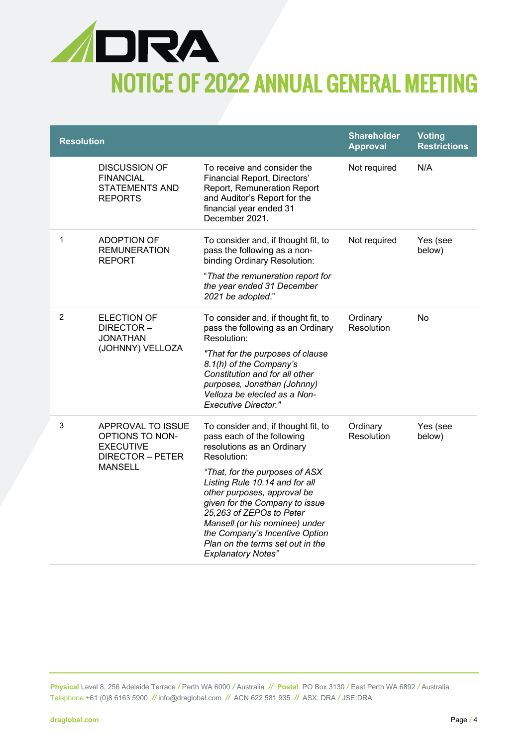

| <b>Resolution</b> |                                                                                                       |                                                                                                                                                                                                                                                                                                                                                                                                                      | <b>Shareholder</b><br><b>Approval</b> | <b>Voting</b><br><b>Restrictions</b> |
|-------------------|-------------------------------------------------------------------------------------------------------|----------------------------------------------------------------------------------------------------------------------------------------------------------------------------------------------------------------------------------------------------------------------------------------------------------------------------------------------------------------------------------------------------------------------|---------------------------------------|--------------------------------------|
|                   | <b>DISCUSSION OF</b><br><b>FINANCIAL</b><br><b>STATEMENTS AND</b><br><b>REPORTS</b>                   | To receive and consider the<br>Financial Report, Directors'<br>Report, Remuneration Report<br>and Auditor's Report for the<br>financial year ended 31<br>December 2021.                                                                                                                                                                                                                                              | Not required                          | N/A                                  |
| 1                 | <b>ADOPTION OF</b><br><b>REMUNERATION</b><br>REPORT                                                   | To consider and, if thought fit, to<br>pass the following as a non-<br>binding Ordinary Resolution:<br>"That the remuneration report for<br>the year ended 31 December<br>2021 be adopted."                                                                                                                                                                                                                          | Not required                          | Yes (see<br>below)                   |
| $\overline{c}$    | <b>ELECTION OF</b><br>DIRECTOR-<br><b>JONATHAN</b><br>(JOHNNY) VELLOZA                                | To consider and, if thought fit, to<br>pass the following as an Ordinary<br>Resolution:<br>"That for the purposes of clause<br>8.1(h) of the Company's<br>Constitution and for all other<br>purposes, Jonathan (Johnny)<br>Velloza be elected as a Non-<br><b>Executive Director."</b>                                                                                                                               | Ordinary<br>Resolution                | No                                   |
| $\mathfrak{S}$    | APPROVAL TO ISSUE<br>OPTIONS TO NON-<br><b>EXECUTIVE</b><br><b>DIRECTOR - PETER</b><br><b>MANSELL</b> | To consider and, if thought fit, to<br>pass each of the following<br>resolutions as an Ordinary<br>Resolution:<br>"That, for the purposes of ASX<br>Listing Rule 10.14 and for all<br>other purposes, approval be<br>given for the Company to issue<br>25,263 of ZEPOs to Peter<br>Mansell (or his nominee) under<br>the Company's Incentive Option<br>Plan on the terms set out in the<br><b>Explanatory Notes"</b> | Ordinary<br>Resolution                | Yes (see<br>below)                   |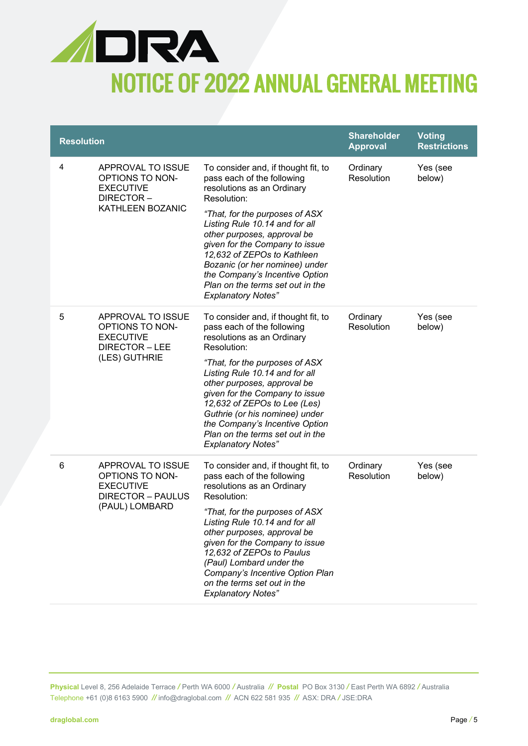

| <b>Resolution</b> |                                                                                                         |                                                                                                                                                                                                                                                                                                                                                                                                                          | <b>Shareholder</b><br><b>Approval</b> | <b>Voting</b><br><b>Restrictions</b> |
|-------------------|---------------------------------------------------------------------------------------------------------|--------------------------------------------------------------------------------------------------------------------------------------------------------------------------------------------------------------------------------------------------------------------------------------------------------------------------------------------------------------------------------------------------------------------------|---------------------------------------|--------------------------------------|
| 4                 | APPROVAL TO ISSUE<br><b>OPTIONS TO NON-</b><br><b>EXECUTIVE</b><br>DIRECTOR-<br><b>KATHLEEN BOZANIC</b> | To consider and, if thought fit, to<br>pass each of the following<br>resolutions as an Ordinary<br>Resolution:<br>"That, for the purposes of ASX<br>Listing Rule 10.14 and for all<br>other purposes, approval be<br>given for the Company to issue<br>12,632 of ZEPOs to Kathleen<br>Bozanic (or her nominee) under<br>the Company's Incentive Option<br>Plan on the terms set out in the<br><b>Explanatory Notes"</b>  | Ordinary<br><b>Resolution</b>         | Yes (see<br>below)                   |
| 5                 | APPROVAL TO ISSUE<br><b>OPTIONS TO NON-</b><br><b>EXECUTIVE</b><br>DIRECTOR-LEE<br>(LES) GUTHRIE        | To consider and, if thought fit, to<br>pass each of the following<br>resolutions as an Ordinary<br>Resolution:<br>"That, for the purposes of ASX<br>Listing Rule 10.14 and for all<br>other purposes, approval be<br>given for the Company to issue<br>12,632 of ZEPOs to Lee (Les)<br>Guthrie (or his nominee) under<br>the Company's Incentive Option<br>Plan on the terms set out in the<br><b>Explanatory Notes"</b> | Ordinary<br>Resolution                | Yes (see<br>below)                   |
| 6                 | APPROVAL TO ISSUE<br>OPTIONS TO NON-<br><b>EXECUTIVE</b><br><b>DIRECTOR - PAULUS</b><br>(PAUL) LOMBARD  | To consider and, if thought fit, to<br>pass each of the following<br>resolutions as an Ordinary<br>Resolution:<br>"That, for the purposes of ASX<br>Listing Rule 10.14 and for all<br>other purposes, approval be<br>given for the Company to issue<br>12,632 of ZEPOs to Paulus<br>(Paul) Lombard under the<br>Company's Incentive Option Plan<br>on the terms set out in the<br><b>Explanatory Notes"</b>              | Ordinary<br>Resolution                | Yes (see<br>below)                   |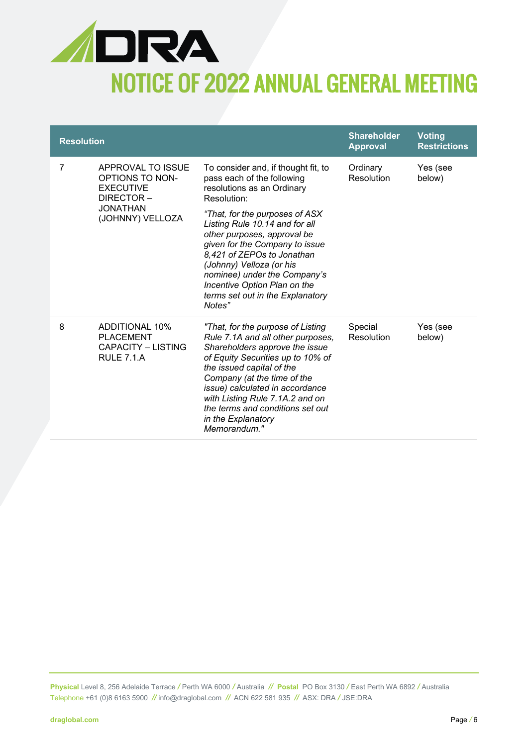

| <b>Resolution</b> |                                                                                                              |                                                                                                                                                                                                                                                                                                                                                           | <b>Shareholder</b><br><b>Approval</b> | <b>Voting</b><br><b>Restrictions</b> |
|-------------------|--------------------------------------------------------------------------------------------------------------|-----------------------------------------------------------------------------------------------------------------------------------------------------------------------------------------------------------------------------------------------------------------------------------------------------------------------------------------------------------|---------------------------------------|--------------------------------------|
| 7                 | APPROVAL TO ISSUE<br>OPTIONS TO NON-<br><b>EXECUTIVE</b><br>DIRECTOR-<br><b>JONATHAN</b><br>(JOHNNY) VELLOZA | To consider and, if thought fit, to<br>pass each of the following<br>resolutions as an Ordinary<br>Resolution:                                                                                                                                                                                                                                            | Ordinary<br>Resolution                | Yes (see<br>below)                   |
|                   |                                                                                                              | "That, for the purposes of ASX<br>Listing Rule 10.14 and for all<br>other purposes, approval be<br>given for the Company to issue<br>8,421 of ZEPOs to Jonathan<br>(Johnny) Velloza (or his<br>nominee) under the Company's<br>Incentive Option Plan on the<br>terms set out in the Explanatory<br>Notes"                                                 |                                       |                                      |
| 8                 | <b>ADDITIONAL 10%</b><br><b>PLACEMENT</b><br>CAPACITY - LISTING<br><b>RULE 7.1.A</b>                         | "That, for the purpose of Listing<br>Rule 7.1A and all other purposes,<br>Shareholders approve the issue<br>of Equity Securities up to 10% of<br>the issued capital of the<br>Company (at the time of the<br>issue) calculated in accordance<br>with Listing Rule 7.1A.2 and on<br>the terms and conditions set out<br>in the Explanatory<br>Memorandum." | Special<br>Resolution                 | Yes (see<br>below)                   |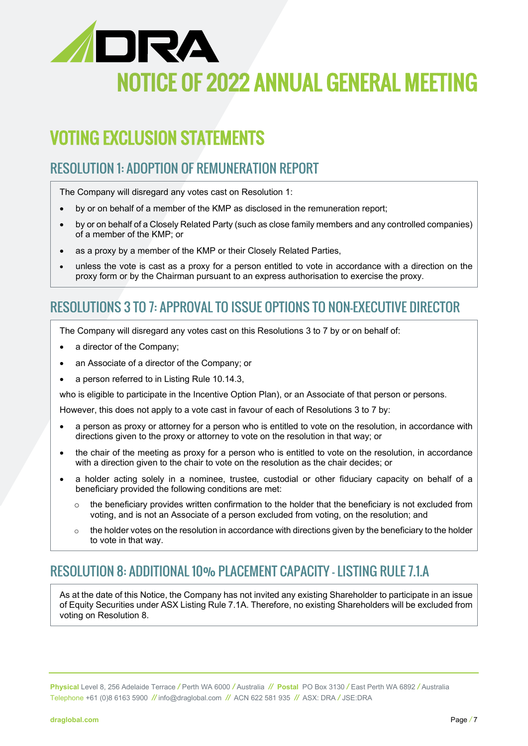

### VOTING EXCLUSION STATEMENTS

### RESOLUTION 1: ADOPTION OF REMUNERATION REPORT

The Company will disregard any votes cast on Resolution 1:

- by or on behalf of a member of the KMP as disclosed in the remuneration report;
- by or on behalf of a Closely Related Party (such as close family members and any controlled companies) of a member of the KMP; or
- as a proxy by a member of the KMP or their Closely Related Parties,
- unless the vote is cast as a proxy for a person entitled to vote in accordance with a direction on the proxy form or by the Chairman pursuant to an express authorisation to exercise the proxy.

### RESOLUTIONS 3 TO 7: APPROVAL TO ISSUE OPTIONS TO NON-EXECUTIVE DIRECTOR

The Company will disregard any votes cast on this Resolutions 3 to 7 by or on behalf of:

- a director of the Company;
- an Associate of a director of the Company; or
- a person referred to in Listing Rule 10.14.3,

who is eligible to participate in the Incentive Option Plan), or an Associate of that person or persons.

However, this does not apply to a vote cast in favour of each of Resolutions 3 to 7 by:

- a person as proxy or attorney for a person who is entitled to vote on the resolution, in accordance with directions given to the proxy or attorney to vote on the resolution in that way; or
- the chair of the meeting as proxy for a person who is entitled to vote on the resolution, in accordance with a direction given to the chair to vote on the resolution as the chair decides; or
- a holder acting solely in a nominee, trustee, custodial or other fiduciary capacity on behalf of a beneficiary provided the following conditions are met:
	- $\circ$  the beneficiary provides written confirmation to the holder that the beneficiary is not excluded from voting, and is not an Associate of a person excluded from voting, on the resolution; and
	- $\circ$  the holder votes on the resolution in accordance with directions given by the beneficiary to the holder to vote in that way.

### RESOLUTION 8: ADDITIONAL 10% PLACEMENT CAPACITY – LISTING RULE 7.1.A

As at the date of this Notice, the Company has not invited any existing Shareholder to participate in an issue of Equity Securities under ASX Listing Rule 7.1A. Therefore, no existing Shareholders will be excluded from voting on Resolution 8.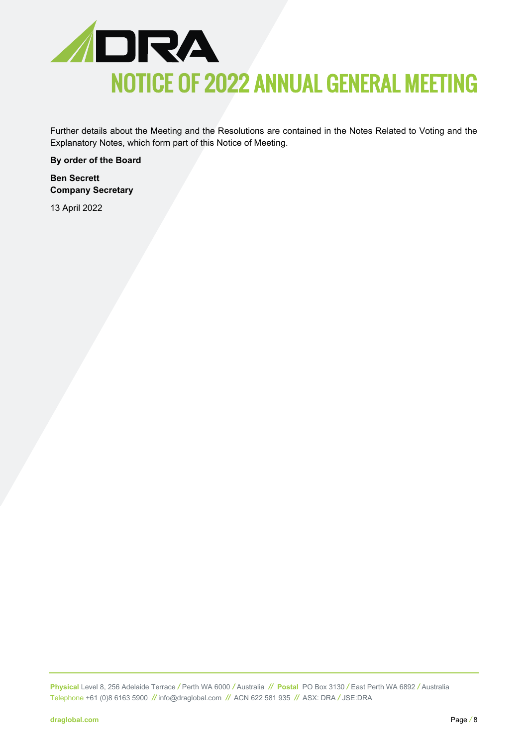

Further details about the Meeting and the Resolutions are contained in the Notes Related to Voting and the Explanatory Notes, which form part of this Notice of Meeting.

**By order of the Board**

**Ben Secrett Company Secretary**

13 April 2022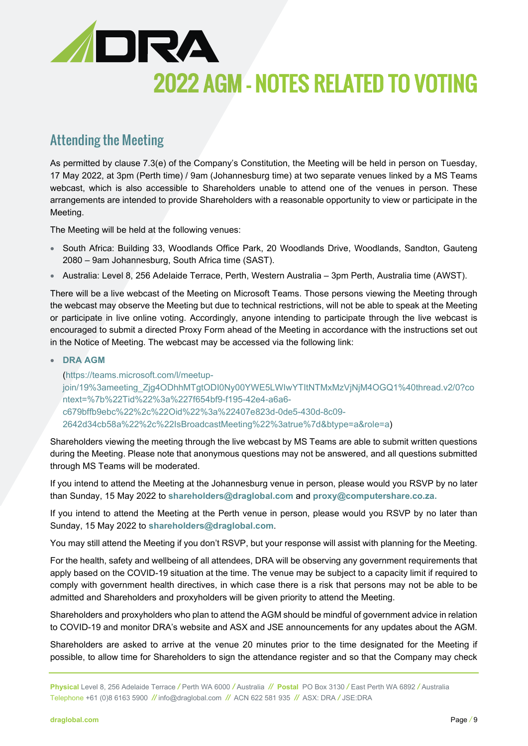

### Attending the Meeting

As permitted by clause 7.3(e) of the Company's Constitution, the Meeting will be held in person on Tuesday, 17 May 2022, at 3pm (Perth time) / 9am (Johannesburg time) at two separate venues linked by a MS Teams webcast, which is also accessible to Shareholders unable to attend one of the venues in person. These arrangements are intended to provide Shareholders with a reasonable opportunity to view or participate in the Meeting.

The Meeting will be held at the following venues:

- South Africa: Building 33, Woodlands Office Park, 20 Woodlands Drive, Woodlands, Sandton, Gauteng 2080 – 9am Johannesburg, South Africa time (SAST).
- Australia: Level 8, 256 Adelaide Terrace, Perth, Western Australia 3pm Perth, Australia time (AWST).

There will be a live webcast of the Meeting on Microsoft Teams. Those persons viewing the Meeting through the webcast may observe the Meeting but due to technical restrictions, will not be able to speak at the Meeting or participate in live online voting. Accordingly, anyone intending to participate through the live webcast is encouraged to submit a directed Proxy Form ahead of the Meeting in accordance with the instructions set out in the Notice of Meeting. The webcast may be accessed via the following link:

#### • **[DRA AGM](https://teams.microsoft.com/l/meetup-join/19%3ameeting_Zjg4ODhhMTgtODI0Ny00YWE5LWIwYTItNTMxMzVjNjM4OGQ1%40thread.v2/0?context=%7b%22Tid%22%3a%227f654bf9-f195-42e4-a6a6-c679bffb9ebc%22%2c%22Oid%22%3a%22407e823d-0de5-430d-8c09-2642d34cb58a%22%2c%22IsBroadcastMeeting%22%3atrue%7d&btype=a&role=a)**

[\(https://teams.microsoft.com/l/meetup](https://teams.microsoft.com/l/meetup-join/19%3ameeting_Zjg4ODhhMTgtODI0Ny00YWE5LWIwYTItNTMxMzVjNjM4OGQ1%40thread.v2/0?context=%7b%22Tid%22%3a%227f654bf9-f195-42e4-a6a6-c679bffb9ebc%22%2c%22Oid%22%3a%22407e823d-0de5-430d-8c09-2642d34cb58a%22%2c%22IsBroadcastMeeting%22%3atrue%7d&btype=a&role=a)[join/19%3ameeting\\_Zjg4ODhhMTgtODI0Ny00YWE5LWIwYTItNTMxMzVjNjM4OGQ1%40thread.v2/0?co](https://teams.microsoft.com/l/meetup-join/19%3ameeting_Zjg4ODhhMTgtODI0Ny00YWE5LWIwYTItNTMxMzVjNjM4OGQ1%40thread.v2/0?context=%7b%22Tid%22%3a%227f654bf9-f195-42e4-a6a6-c679bffb9ebc%22%2c%22Oid%22%3a%22407e823d-0de5-430d-8c09-2642d34cb58a%22%2c%22IsBroadcastMeeting%22%3atrue%7d&btype=a&role=a) [ntext=%7b%22Tid%22%3a%227f654bf9-f195-42e4-a6a6](https://teams.microsoft.com/l/meetup-join/19%3ameeting_Zjg4ODhhMTgtODI0Ny00YWE5LWIwYTItNTMxMzVjNjM4OGQ1%40thread.v2/0?context=%7b%22Tid%22%3a%227f654bf9-f195-42e4-a6a6-c679bffb9ebc%22%2c%22Oid%22%3a%22407e823d-0de5-430d-8c09-2642d34cb58a%22%2c%22IsBroadcastMeeting%22%3atrue%7d&btype=a&role=a) [c679bffb9ebc%22%2c%22Oid%22%3a%22407e823d-0de5-430d-8c09-](https://teams.microsoft.com/l/meetup-join/19%3ameeting_Zjg4ODhhMTgtODI0Ny00YWE5LWIwYTItNTMxMzVjNjM4OGQ1%40thread.v2/0?context=%7b%22Tid%22%3a%227f654bf9-f195-42e4-a6a6-c679bffb9ebc%22%2c%22Oid%22%3a%22407e823d-0de5-430d-8c09-2642d34cb58a%22%2c%22IsBroadcastMeeting%22%3atrue%7d&btype=a&role=a) [2642d34cb58a%22%2c%22IsBroadcastMeeting%22%3atrue%7d&btype=a&role=a\)](https://teams.microsoft.com/l/meetup-join/19%3ameeting_Zjg4ODhhMTgtODI0Ny00YWE5LWIwYTItNTMxMzVjNjM4OGQ1%40thread.v2/0?context=%7b%22Tid%22%3a%227f654bf9-f195-42e4-a6a6-c679bffb9ebc%22%2c%22Oid%22%3a%22407e823d-0de5-430d-8c09-2642d34cb58a%22%2c%22IsBroadcastMeeting%22%3atrue%7d&btype=a&role=a)

Shareholders viewing the meeting through the live webcast by MS Teams are able to submit written questions during the Meeting. Please note that anonymous questions may not be answered, and all questions submitted through MS Teams will be moderated.

If you intend to attend the Meeting at the Johannesburg venue in person, please would you RSVP by no later than Sunday, 15 May 2022 to **[shareholders@draglobal.com](mailto:shareholders@draglobal.com)** and **[proxy@computershare.co.za.](mailto:proxy@computershare.co.za)** 

If you intend to attend the Meeting at the Perth venue in person, please would you RSVP by no later than Sunday, 15 May 2022 to **[shareholders@draglobal.com](mailto:shareholders@draglobal.com)**.

You may still attend the Meeting if you don't RSVP, but your response will assist with planning for the Meeting.

For the health, safety and wellbeing of all attendees, DRA will be observing any government requirements that apply based on the COVID-19 situation at the time. The venue may be subject to a capacity limit if required to comply with government health directives, in which case there is a risk that persons may not be able to be admitted and Shareholders and proxyholders will be given priority to attend the Meeting.

Shareholders and proxyholders who plan to attend the AGM should be mindful of government advice in relation to COVID-19 and monitor DRA's website and ASX and JSE announcements for any updates about the AGM.

Shareholders are asked to arrive at the venue 20 minutes prior to the time designated for the Meeting if possible, to allow time for Shareholders to sign the attendance register and so that the Company may check

**Physical** Level 8, 256 Adelaide Terrace */* Perth WA 6000 */* Australia *//* **Postal** PO Box 3130 */* East Perth WA 6892 */* Australia Telephone +61 (0)8 6163 5900 *//* [info@draglobal.com](mailto:info@draglobal.com) *//* ACN 622 581 935*//* ASX: DRA */* JSE:DRA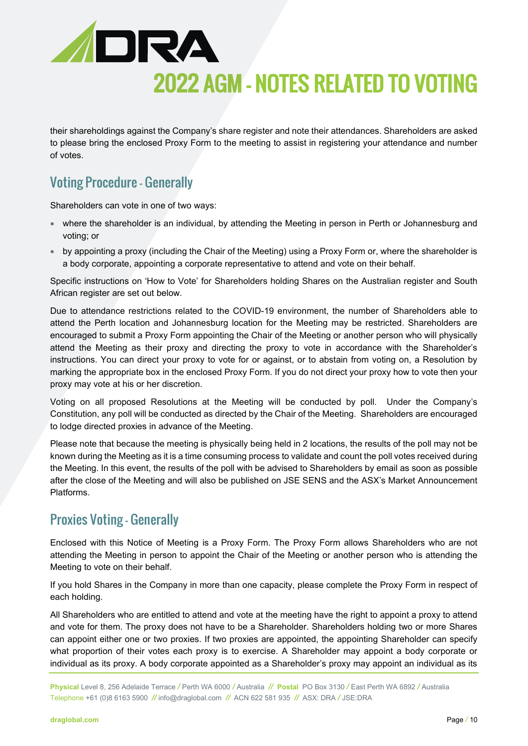

# 2022 AGM – NOTES RELATED TO VOTING

their shareholdings against the Company's share register and note their attendances. Shareholders are asked to please bring the enclosed Proxy Form to the meeting to assist in registering your attendance and number of votes.

### Voting Procedure - Generally

Shareholders can vote in one of two ways:

- where the shareholder is an individual, by attending the Meeting in person in Perth or Johannesburg and voting; or
- by appointing a proxy (including the Chair of the Meeting) using a Proxy Form or, where the shareholder is a body corporate, appointing a corporate representative to attend and vote on their behalf.

Specific instructions on 'How to Vote' for Shareholders holding Shares on the Australian register and South African register are set out below.

Due to attendance restrictions related to the COVID-19 environment, the number of Shareholders able to attend the Perth location and Johannesburg location for the Meeting may be restricted. Shareholders are encouraged to submit a Proxy Form appointing the Chair of the Meeting or another person who will physically attend the Meeting as their proxy and directing the proxy to vote in accordance with the Shareholder's instructions. You can direct your proxy to vote for or against, or to abstain from voting on, a Resolution by marking the appropriate box in the enclosed Proxy Form. If you do not direct your proxy how to vote then your proxy may vote at his or her discretion.

Voting on all proposed Resolutions at the Meeting will be conducted by poll. Under the Company's Constitution, any poll will be conducted as directed by the Chair of the Meeting. Shareholders are encouraged to lodge directed proxies in advance of the Meeting.

Please note that because the meeting is physically being held in 2 locations, the results of the poll may not be known during the Meeting as it is a time consuming process to validate and count the poll votes received during the Meeting. In this event, the results of the poll with be advised to Shareholders by email as soon as possible after the close of the Meeting and will also be published on JSE SENS and the ASX's Market Announcement Platforms.

### Proxies Voting - Generally

Enclosed with this Notice of Meeting is a Proxy Form. The Proxy Form allows Shareholders who are not attending the Meeting in person to appoint the Chair of the Meeting or another person who is attending the Meeting to vote on their behalf.

If you hold Shares in the Company in more than one capacity, please complete the Proxy Form in respect of each holding.

All Shareholders who are entitled to attend and vote at the meeting have the right to appoint a proxy to attend and vote for them. The proxy does not have to be a Shareholder. Shareholders holding two or more Shares can appoint either one or two proxies. If two proxies are appointed, the appointing Shareholder can specify what proportion of their votes each proxy is to exercise. A Shareholder may appoint a body corporate or individual as its proxy. A body corporate appointed as a Shareholder's proxy may appoint an individual as its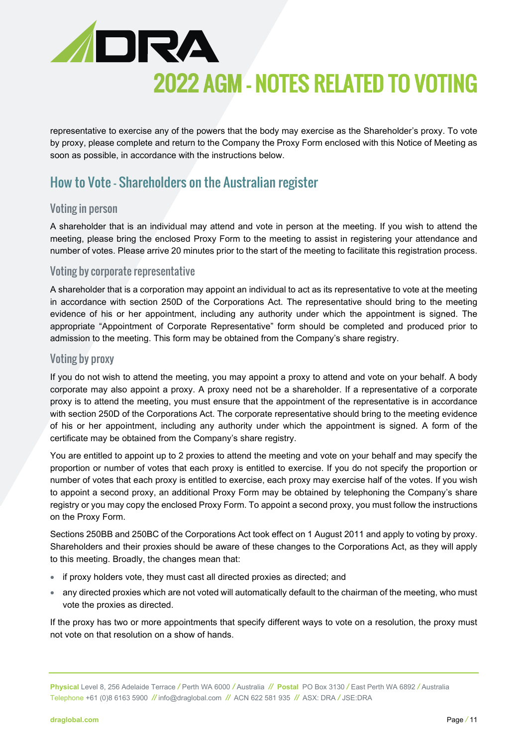

# 2022 AGM – NOTES RELATED TO VOTING

representative to exercise any of the powers that the body may exercise as the Shareholder's proxy. To vote by proxy, please complete and return to the Company the Proxy Form enclosed with this Notice of Meeting as soon as possible, in accordance with the instructions below.

### How to Vote – Shareholders on the Australian register

#### Voting in person

A shareholder that is an individual may attend and vote in person at the meeting. If you wish to attend the meeting, please bring the enclosed Proxy Form to the meeting to assist in registering your attendance and number of votes. Please arrive 20 minutes prior to the start of the meeting to facilitate this registration process.

#### Voting by corporate representative

A shareholder that is a corporation may appoint an individual to act as its representative to vote at the meeting in accordance with section 250D of the Corporations Act. The representative should bring to the meeting evidence of his or her appointment, including any authority under which the appointment is signed. The appropriate "Appointment of Corporate Representative" form should be completed and produced prior to admission to the meeting. This form may be obtained from the Company's share registry.

#### Voting by proxy

If you do not wish to attend the meeting, you may appoint a proxy to attend and vote on your behalf. A body corporate may also appoint a proxy. A proxy need not be a shareholder. If a representative of a corporate proxy is to attend the meeting, you must ensure that the appointment of the representative is in accordance with section 250D of the Corporations Act. The corporate representative should bring to the meeting evidence of his or her appointment, including any authority under which the appointment is signed. A form of the certificate may be obtained from the Company's share registry.

You are entitled to appoint up to 2 proxies to attend the meeting and vote on your behalf and may specify the proportion or number of votes that each proxy is entitled to exercise. If you do not specify the proportion or number of votes that each proxy is entitled to exercise, each proxy may exercise half of the votes. If you wish to appoint a second proxy, an additional Proxy Form may be obtained by telephoning the Company's share registry or you may copy the enclosed Proxy Form. To appoint a second proxy, you must follow the instructions on the Proxy Form.

Sections 250BB and 250BC of the Corporations Act took effect on 1 August 2011 and apply to voting by proxy. Shareholders and their proxies should be aware of these changes to the Corporations Act, as they will apply to this meeting. Broadly, the changes mean that:

- if proxy holders vote, they must cast all directed proxies as directed; and
- any directed proxies which are not voted will automatically default to the chairman of the meeting, who must vote the proxies as directed.

If the proxy has two or more appointments that specify different ways to vote on a resolution, the proxy must not vote on that resolution on a show of hands.

**Physical** Level 8, 256 Adelaide Terrace */* Perth WA 6000 */* Australia *//* **Postal** PO Box 3130 */* East Perth WA 6892 */* Australia Telephone +61 (0)8 6163 5900 *//* [info@draglobal.com](mailto:info@draglobal.com) *//* ACN 622 581 935*//* ASX: DRA */* JSE:DRA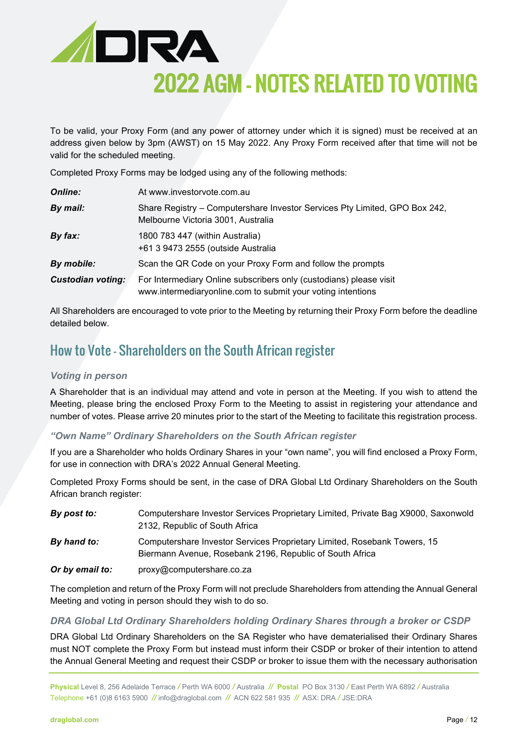

To be valid, your Proxy Form (and any power of attorney under which it is signed) must be received at an address given below by 3pm (AWST) on 15 May 2022. Any Proxy Form received after that time will not be valid for the scheduled meeting.

Completed Proxy Forms may be lodged using any of the following methods:

| <b>Online:</b>           | At www.investorvote.com.au                                                                                                        |
|--------------------------|-----------------------------------------------------------------------------------------------------------------------------------|
| By mail:                 | Share Registry – Computershare Investor Services Pty Limited, GPO Box 242,<br>Melbourne Victoria 3001, Australia                  |
| By fax:                  | 1800 783 447 (within Australia)<br>+61 3 9473 2555 (outside Australia                                                             |
| By mobile:               | Scan the QR Code on your Proxy Form and follow the prompts                                                                        |
| <b>Custodian voting:</b> | For Intermediary Online subscribers only (custodians) please visit<br>www.intermediaryonline.com to submit your voting intentions |

All Shareholders are encouraged to vote prior to the Meeting by returning their Proxy Form before the deadline detailed below.

### How to Vote – Shareholders on the South African register

#### *Voting in person*

A Shareholder that is an individual may attend and vote in person at the Meeting. If you wish to attend the Meeting, please bring the enclosed Proxy Form to the Meeting to assist in registering your attendance and number of votes. Please arrive 20 minutes prior to the start of the Meeting to facilitate this registration process.

*"Own Name" Ordinary Shareholders on the South African register*

If you are a Shareholder who holds Ordinary Shares in your "own name", you will find enclosed a Proxy Form, for use in connection with DRA's 2022 Annual General Meeting.

Completed Proxy Forms should be sent, in the case of DRA Global Ltd Ordinary Shareholders on the South African branch register:

| By post to:     | Computershare Investor Services Proprietary Limited, Private Bag X9000, Saxonwold<br>2132, Republic of South Africa                  |
|-----------------|--------------------------------------------------------------------------------------------------------------------------------------|
| By hand to:     | Computershare Investor Services Proprietary Limited, Rosebank Towers, 15<br>Biermann Avenue, Rosebank 2196, Republic of South Africa |
| Or by email to: | proxy@computershare.co.za                                                                                                            |

The completion and return of the Proxy Form will not preclude Shareholders from attending the Annual General Meeting and voting in person should they wish to do so.

#### *DRA Global Ltd Ordinary Shareholders holding Ordinary Shares through a broker or CSDP*

DRA Global Ltd Ordinary Shareholders on the SA Register who have dematerialised their Ordinary Shares must NOT complete the Proxy Form but instead must inform their CSDP or broker of their intention to attend the Annual General Meeting and request their CSDP or broker to issue them with the necessary authorisation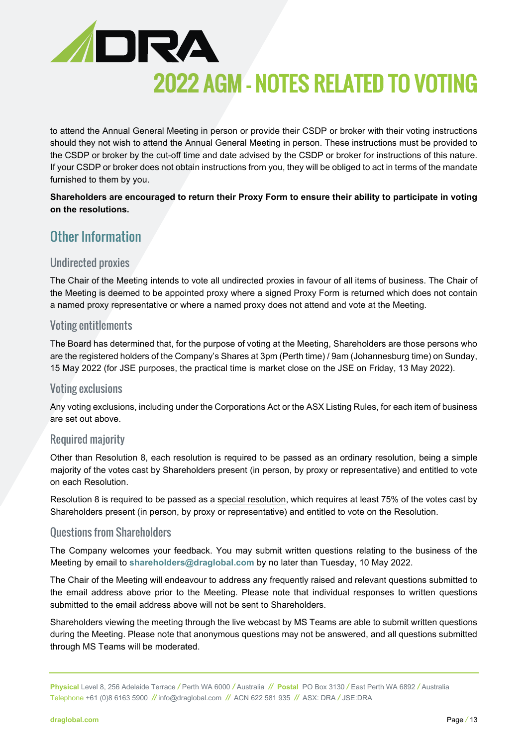

to attend the Annual General Meeting in person or provide their CSDP or broker with their voting instructions should they not wish to attend the Annual General Meeting in person. These instructions must be provided to the CSDP or broker by the cut-off time and date advised by the CSDP or broker for instructions of this nature. If your CSDP or broker does not obtain instructions from you, they will be obliged to act in terms of the mandate furnished to them by you.

**Shareholders are encouraged to return their Proxy Form to ensure their ability to participate in voting on the resolutions.**

### Other Information

#### Undirected proxies

The Chair of the Meeting intends to vote all undirected proxies in favour of all items of business. The Chair of the Meeting is deemed to be appointed proxy where a signed Proxy Form is returned which does not contain a named proxy representative or where a named proxy does not attend and vote at the Meeting.

#### Voting entitlements

The Board has determined that, for the purpose of voting at the Meeting, Shareholders are those persons who are the registered holders of the Company's Shares at 3pm (Perth time) / 9am (Johannesburg time) on Sunday, 15 May 2022 (for JSE purposes, the practical time is market close on the JSE on Friday, 13 May 2022).

#### Voting exclusions

Any voting exclusions, including under the Corporations Act or the ASX Listing Rules, for each item of business are set out above.

#### Required majority

Other than Resolution 8, each resolution is required to be passed as an ordinary resolution, being a simple majority of the votes cast by Shareholders present (in person, by proxy or representative) and entitled to vote on each Resolution.

Resolution 8 is required to be passed as a special resolution, which requires at least 75% of the votes cast by Shareholders present (in person, by proxy or representative) and entitled to vote on the Resolution.

#### Questions from Shareholders

The Company welcomes your feedback. You may submit written questions relating to the business of the Meeting by email to **[shareholders@draglobal.com](mailto:shareholders@draglobal.com)** by no later than Tuesday, 10 May 2022.

The Chair of the Meeting will endeavour to address any frequently raised and relevant questions submitted to the email address above prior to the Meeting. Please note that individual responses to written questions submitted to the email address above will not be sent to Shareholders.

Shareholders viewing the meeting through the live webcast by MS Teams are able to submit written questions during the Meeting. Please note that anonymous questions may not be answered, and all questions submitted through MS Teams will be moderated.

**Physical** Level 8, 256 Adelaide Terrace */* Perth WA 6000 */* Australia *//* **Postal** PO Box 3130 */* East Perth WA 6892 */* Australia Telephone +61 (0)8 6163 5900 *//* [info@draglobal.com](mailto:info@draglobal.com) *//* ACN 622 581 935*//* ASX: DRA */* JSE:DRA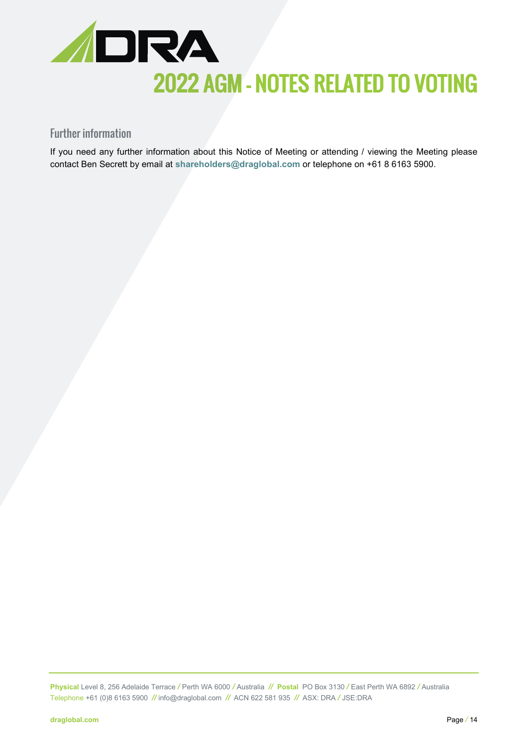

### Further information

If you need any further information about this Notice of Meeting or attending / viewing the Meeting please contact Ben Secrett by email at **[shareholders@draglobal.com](mailto:shareholders@draglobal.com)** or telephone on +61 8 6163 5900.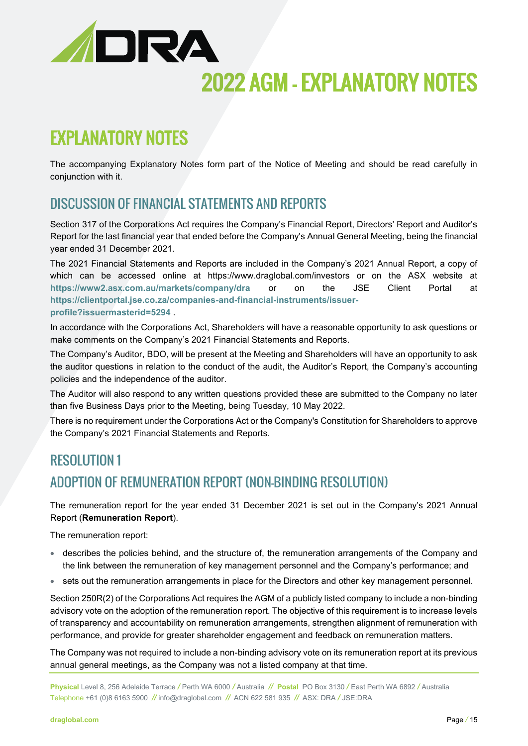

## EXPLANATORY NOTES

The accompanying Explanatory Notes form part of the Notice of Meeting and should be read carefully in conjunction with it.

### DISCUSSION OF FINANCIAL STATEMENTS AND REPORTS

Section 317 of the Corporations Act requires the Company's Financial Report, Directors' Report and Auditor's Report for the last financial year that ended before the Company's Annual General Meeting, being the financial year ended 31 December 2021.

The 2021 Financial Statements and Reports are included in the Company's 2021 Annual Report, a copy of which can be accessed online at https://www.draglobal.com/investors or on the ASX website at **<https://www2.asx.com.au/markets/company/dra>** or on the JSE Client Portal at **[https://clientportal.jse.co.za/companies-and-financial-instruments/issuer](https://clientportal.jse.co.za/companies-and-financial-instruments/issuer-profile?issuermasterid=5294)[profile?issuermasterid=5294](https://clientportal.jse.co.za/companies-and-financial-instruments/issuer-profile?issuermasterid=5294)** .

In accordance with the Corporations Act, Shareholders will have a reasonable opportunity to ask questions or make comments on the Company's 2021 Financial Statements and Reports.

The Company's Auditor, BDO, will be present at the Meeting and Shareholders will have an opportunity to ask the auditor questions in relation to the conduct of the audit, the Auditor's Report, the Company's accounting policies and the independence of the auditor.

The Auditor will also respond to any written questions provided these are submitted to the Company no later than five Business Days prior to the Meeting, being Tuesday, 10 May 2022.

There is no requirement under the Corporations Act or the Company's Constitution for Shareholders to approve the Company's 2021 Financial Statements and Reports.

### RESOLUTION 1 ADOPTION OF REMUNERATION REPORT (NON-BINDING RESOLUTION)

The remuneration report for the year ended 31 December 2021 is set out in the Company's 2021 Annual Report (**Remuneration Report**).

The remuneration report:

- describes the policies behind, and the structure of, the remuneration arrangements of the Company and the link between the remuneration of key management personnel and the Company's performance; and
- sets out the remuneration arrangements in place for the Directors and other key management personnel.

Section 250R(2) of the Corporations Act requires the AGM of a publicly listed company to include a non-binding advisory vote on the adoption of the remuneration report. The objective of this requirement is to increase levels of transparency and accountability on remuneration arrangements, strengthen alignment of remuneration with performance, and provide for greater shareholder engagement and feedback on remuneration matters.

The Company was not required to include a non-binding advisory vote on its remuneration report at its previous annual general meetings, as the Company was not a listed company at that time.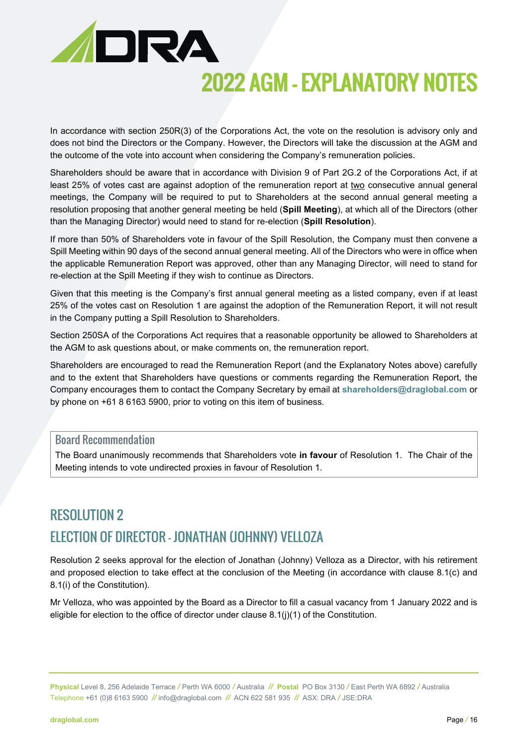

In accordance with section 250R(3) of the Corporations Act, the vote on the resolution is advisory only and does not bind the Directors or the Company. However, the Directors will take the discussion at the AGM and the outcome of the vote into account when considering the Company's remuneration policies.

Shareholders should be aware that in accordance with Division 9 of Part 2G.2 of the Corporations Act, if at least 25% of votes cast are against adoption of the remuneration report at two consecutive annual general meetings, the Company will be required to put to Shareholders at the second annual general meeting a resolution proposing that another general meeting be held (**Spill Meeting**), at which all of the Directors (other than the Managing Director) would need to stand for re-election (**Spill Resolution**).

If more than 50% of Shareholders vote in favour of the Spill Resolution, the Company must then convene a Spill Meeting within 90 days of the second annual general meeting. All of the Directors who were in office when the applicable Remuneration Report was approved, other than any Managing Director, will need to stand for re-election at the Spill Meeting if they wish to continue as Directors.

Given that this meeting is the Company's first annual general meeting as a listed company, even if at least 25% of the votes cast on Resolution 1 are against the adoption of the Remuneration Report, it will not result in the Company putting a Spill Resolution to Shareholders.

Section 250SA of the Corporations Act requires that a reasonable opportunity be allowed to Shareholders at the AGM to ask questions about, or make comments on, the remuneration report.

Shareholders are encouraged to read the Remuneration Report (and the Explanatory Notes above) carefully and to the extent that Shareholders have questions or comments regarding the Remuneration Report, the Company encourages them to contact the Company Secretary by email at **[shareholders@draglobal.com](mailto:shareholders@draglobal.com)** or by phone on +61 8 6163 5900, prior to voting on this item of business.

#### Board Recommendation

The Board unanimously recommends that Shareholders vote **in favour** of Resolution 1. The Chair of the Meeting intends to vote undirected proxies in favour of Resolution 1.

### RESOLUTION 2 ELECTION OF DIRECTOR – JONATHAN (JOHNNY) VELLOZA

Resolution 2 seeks approval for the election of Jonathan (Johnny) Velloza as a Director, with his retirement and proposed election to take effect at the conclusion of the Meeting (in accordance with clause 8.1(c) and 8.1(i) of the Constitution).

Mr Velloza, who was appointed by the Board as a Director to fill a casual vacancy from 1 January 2022 and is eligible for election to the office of director under clause 8.1(j)(1) of the Constitution.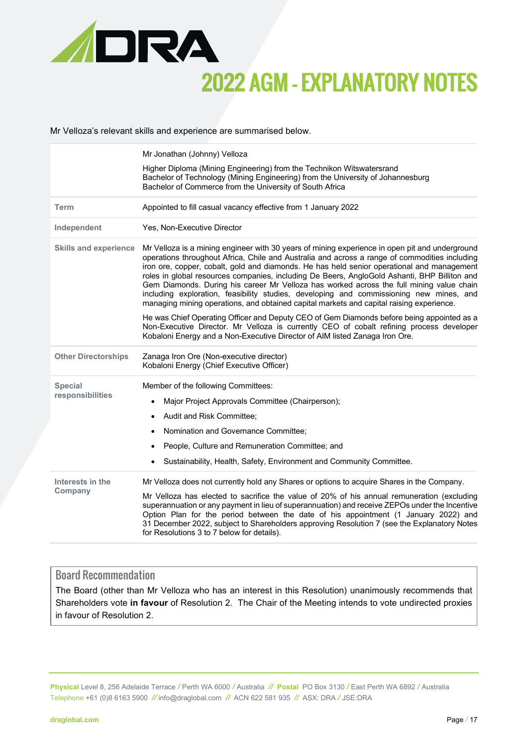

Mr Velloza's relevant skills and experience are summarised below.

|                                    | Mr Jonathan (Johnny) Velloza<br>Higher Diploma (Mining Engineering) from the Technikon Witswatersrand<br>Bachelor of Technology (Mining Engineering) from the University of Johannesburg<br>Bachelor of Commerce from the University of South Africa                                                                                                                                                                                                                                                                                                                                                                                                                                                                                                                                                                                                                                                                                                     |  |  |  |
|------------------------------------|----------------------------------------------------------------------------------------------------------------------------------------------------------------------------------------------------------------------------------------------------------------------------------------------------------------------------------------------------------------------------------------------------------------------------------------------------------------------------------------------------------------------------------------------------------------------------------------------------------------------------------------------------------------------------------------------------------------------------------------------------------------------------------------------------------------------------------------------------------------------------------------------------------------------------------------------------------|--|--|--|
| <b>Term</b>                        | Appointed to fill casual vacancy effective from 1 January 2022                                                                                                                                                                                                                                                                                                                                                                                                                                                                                                                                                                                                                                                                                                                                                                                                                                                                                           |  |  |  |
| Independent                        | Yes, Non-Executive Director                                                                                                                                                                                                                                                                                                                                                                                                                                                                                                                                                                                                                                                                                                                                                                                                                                                                                                                              |  |  |  |
| <b>Skills and experience</b>       | Mr Velloza is a mining engineer with 30 years of mining experience in open pit and underground<br>operations throughout Africa, Chile and Australia and across a range of commodities including<br>iron ore, copper, cobalt, gold and diamonds. He has held senior operational and management<br>roles in global resources companies, including De Beers, AngloGold Ashanti, BHP Billiton and<br>Gem Diamonds. During his career Mr Velloza has worked across the full mining value chain<br>including exploration, feasibility studies, developing and commissioning new mines, and<br>managing mining operations, and obtained capital markets and capital raising experience.<br>He was Chief Operating Officer and Deputy CEO of Gem Diamonds before being appointed as a<br>Non-Executive Director. Mr Velloza is currently CEO of cobalt refining process developer<br>Kobaloni Energy and a Non-Executive Director of AIM listed Zanaga Iron Ore. |  |  |  |
| <b>Other Directorships</b>         | Zanaga Iron Ore (Non-executive director)<br>Kobaloni Energy (Chief Executive Officer)                                                                                                                                                                                                                                                                                                                                                                                                                                                                                                                                                                                                                                                                                                                                                                                                                                                                    |  |  |  |
| <b>Special</b><br>responsibilities | Member of the following Committees:<br>Major Project Approvals Committee (Chairperson);<br>$\bullet$<br>Audit and Risk Committee;<br>$\bullet$<br>Nomination and Governance Committee;<br>People, Culture and Remuneration Committee; and<br>Sustainability, Health, Safety, Environment and Community Committee.                                                                                                                                                                                                                                                                                                                                                                                                                                                                                                                                                                                                                                        |  |  |  |
| Interests in the<br>Company        | Mr Velloza does not currently hold any Shares or options to acquire Shares in the Company.<br>Mr Velloza has elected to sacrifice the value of 20% of his annual remuneration (excluding<br>superannuation or any payment in lieu of superannuation) and receive ZEPOs under the Incentive<br>Option Plan for the period between the date of his appointment (1 January 2022) and<br>31 December 2022, subject to Shareholders approving Resolution 7 (see the Explanatory Notes<br>for Resolutions 3 to 7 below for details).                                                                                                                                                                                                                                                                                                                                                                                                                           |  |  |  |

#### Board Recommendation

The Board (other than Mr Velloza who has an interest in this Resolution) unanimously recommends that Shareholders vote **in favour** of Resolution 2. The Chair of the Meeting intends to vote undirected proxies in favour of Resolution 2.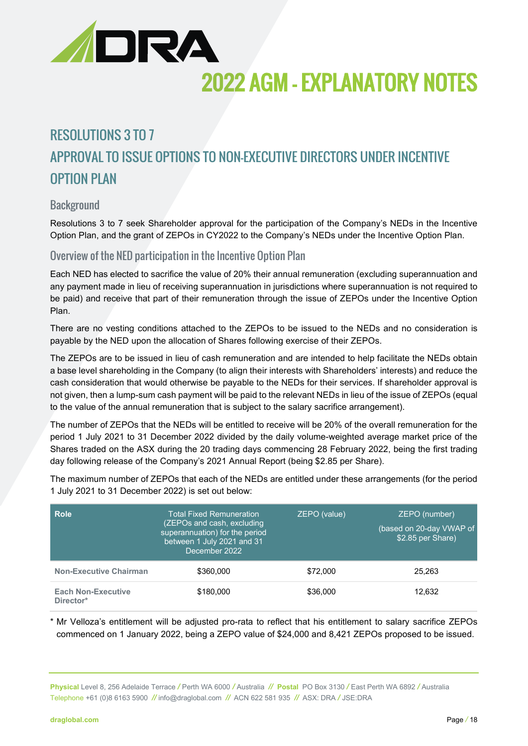

### RESOLUTIONS 3 TO 7 APPROVAL TO ISSUE OPTIONS TO NON-EXECUTIVE DIRECTORS UNDER INCENTIVE OPTION PLAN

#### **Background**

Resolutions 3 to 7 seek Shareholder approval for the participation of the Company's NEDs in the Incentive Option Plan, and the grant of ZEPOs in CY2022 to the Company's NEDs under the Incentive Option Plan.

#### Overview of the NED participation in the Incentive Option Plan

Each NED has elected to sacrifice the value of 20% their annual remuneration (excluding superannuation and any payment made in lieu of receiving superannuation in jurisdictions where superannuation is not required to be paid) and receive that part of their remuneration through the issue of ZEPOs under the Incentive Option Plan.

There are no vesting conditions attached to the ZEPOs to be issued to the NEDs and no consideration is payable by the NED upon the allocation of Shares following exercise of their ZEPOs.

The ZEPOs are to be issued in lieu of cash remuneration and are intended to help facilitate the NEDs obtain a base level shareholding in the Company (to align their interests with Shareholders' interests) and reduce the cash consideration that would otherwise be payable to the NEDs for their services. If shareholder approval is not given, then a lump-sum cash payment will be paid to the relevant NEDs in lieu of the issue of ZEPOs (equal to the value of the annual remuneration that is subject to the salary sacrifice arrangement).

The number of ZEPOs that the NEDs will be entitled to receive will be 20% of the overall remuneration for the period 1 July 2021 to 31 December 2022 divided by the daily volume-weighted average market price of the Shares traded on the ASX during the 20 trading days commencing 28 February 2022, being the first trading day following release of the Company's 2021 Annual Report (being \$2.85 per Share).

The maximum number of ZEPOs that each of the NEDs are entitled under these arrangements (for the period 1 July 2021 to 31 December 2022) is set out below:

| <b>Role</b>                            | Total Fixed Remuneration<br>(ZEPOs and cash, excluding<br>superannuation) for the period<br>between 1 July 2021 and 31<br>December 2022 | ZEPO (value) | ZEPO (number)<br>(based on 20-day VWAP of<br>\$2.85 per Share) |
|----------------------------------------|-----------------------------------------------------------------------------------------------------------------------------------------|--------------|----------------------------------------------------------------|
| <b>Non-Executive Chairman</b>          | \$360,000                                                                                                                               | \$72,000     | 25.263                                                         |
| <b>Each Non-Executive</b><br>Director* | \$180,000                                                                                                                               | \$36,000     | 12,632                                                         |

\* Mr Velloza's entitlement will be adjusted pro-rata to reflect that his entitlement to salary sacrifice ZEPOs commenced on 1 January 2022, being a ZEPO value of \$24,000 and 8,421 ZEPOs proposed to be issued.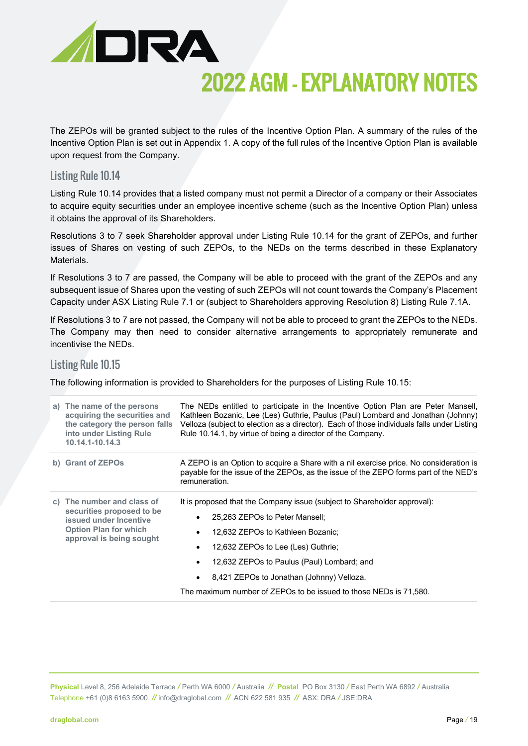

The ZEPOs will be granted subject to the rules of the Incentive Option Plan. A summary of the rules of the Incentive Option Plan is set out in Appendix 1. A copy of the full rules of the Incentive Option Plan is available upon request from the Company.

#### Listing Rule 10.14

Listing Rule 10.14 provides that a listed company must not permit a Director of a company or their Associates to acquire equity securities under an employee incentive scheme (such as the Incentive Option Plan) unless it obtains the approval of its Shareholders.

Resolutions 3 to 7 seek Shareholder approval under Listing Rule 10.14 for the grant of ZEPOs, and further issues of Shares on vesting of such ZEPOs, to the NEDs on the terms described in these Explanatory **Materials** 

If Resolutions 3 to 7 are passed, the Company will be able to proceed with the grant of the ZEPOs and any subsequent issue of Shares upon the vesting of such ZEPOs will not count towards the Company's Placement Capacity under ASX Listing Rule 7.1 or (subject to Shareholders approving Resolution 8) Listing Rule 7.1A.

If Resolutions 3 to 7 are not passed, the Company will not be able to proceed to grant the ZEPOs to the NEDs. The Company may then need to consider alternative arrangements to appropriately remunerate and incentivise the NEDs.

#### Listing Rule 10.15

The following information is provided to Shareholders for the purposes of Listing Rule 10.15:

| a) The name of the persons<br>acquiring the securities and<br>the category the person falls<br>into under Listing Rule<br>10.14.1-10.14.3     | The NEDs entitled to participate in the Incentive Option Plan are Peter Mansell,<br>Kathleen Bozanic, Lee (Les) Guthrie, Paulus (Paul) Lombard and Jonathan (Johnny)<br>Velloza (subject to election as a director). Each of those individuals falls under Listing<br>Rule 10.14.1, by virtue of being a director of the Company.                                                    |  |  |
|-----------------------------------------------------------------------------------------------------------------------------------------------|--------------------------------------------------------------------------------------------------------------------------------------------------------------------------------------------------------------------------------------------------------------------------------------------------------------------------------------------------------------------------------------|--|--|
| b) Grant of ZEPOs                                                                                                                             | A ZEPO is an Option to acquire a Share with a nil exercise price. No consideration is<br>payable for the issue of the ZEPOs, as the issue of the ZEPO forms part of the NED's<br>remuneration.                                                                                                                                                                                       |  |  |
| c) The number and class of<br>securities proposed to be<br>issued under Incentive<br><b>Option Plan for which</b><br>approval is being sought | It is proposed that the Company issue (subject to Shareholder approval):<br>25.263 ZEPOs to Peter Mansell:<br>٠<br>12,632 ZEPOs to Kathleen Bozanic;<br>$\bullet$<br>12,632 ZEPOs to Lee (Les) Guthrie;<br>12,632 ZEPOs to Paulus (Paul) Lombard; and<br>8,421 ZEPOs to Jonathan (Johnny) Velloza.<br>$\bullet$<br>The maximum number of ZEPOs to be issued to those NEDs is 71,580. |  |  |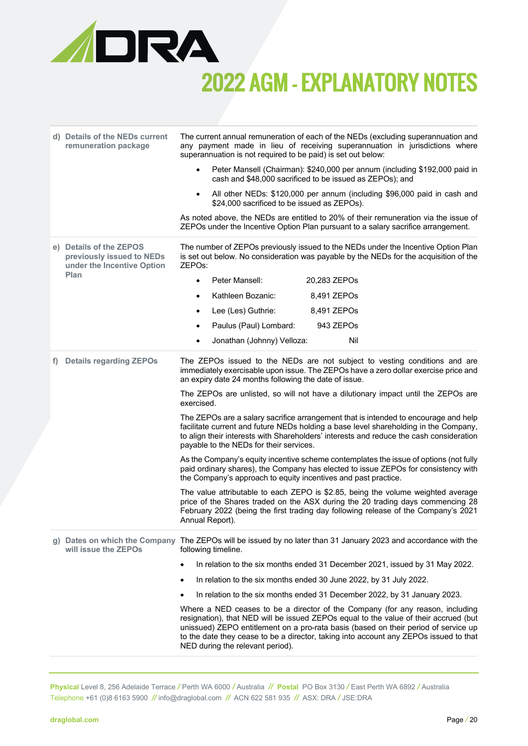

|    | d) Details of the NEDs current<br>remuneration package                             | The current annual remuneration of each of the NEDs (excluding superannuation and<br>any payment made in lieu of receiving superannuation in jurisdictions where<br>superannuation is not required to be paid) is set out below:                                                                                                                                                          |
|----|------------------------------------------------------------------------------------|-------------------------------------------------------------------------------------------------------------------------------------------------------------------------------------------------------------------------------------------------------------------------------------------------------------------------------------------------------------------------------------------|
|    |                                                                                    | Peter Mansell (Chairman): \$240,000 per annum (including \$192,000 paid in<br>cash and \$48,000 sacrificed to be issued as ZEPOs); and                                                                                                                                                                                                                                                    |
|    |                                                                                    | All other NEDs: \$120,000 per annum (including \$96,000 paid in cash and<br>\$24,000 sacrificed to be issued as ZEPOs).                                                                                                                                                                                                                                                                   |
|    |                                                                                    | As noted above, the NEDs are entitled to 20% of their remuneration via the issue of<br>ZEPOs under the Incentive Option Plan pursuant to a salary sacrifice arrangement.                                                                                                                                                                                                                  |
|    | e) Details of the ZEPOS<br>previously issued to NEDs<br>under the Incentive Option | The number of ZEPOs previously issued to the NEDs under the Incentive Option Plan<br>is set out below. No consideration was payable by the NEDs for the acquisition of the<br>ZEPOs:                                                                                                                                                                                                      |
|    | Plan                                                                               | Peter Mansell:<br>20,283 ZEPOs<br>$\bullet$                                                                                                                                                                                                                                                                                                                                               |
|    |                                                                                    | Kathleen Bozanic:<br>8,491 ZEPOs                                                                                                                                                                                                                                                                                                                                                          |
|    |                                                                                    | Lee (Les) Guthrie:<br>8,491 ZEPOs<br>$\bullet$                                                                                                                                                                                                                                                                                                                                            |
|    |                                                                                    | Paulus (Paul) Lombard:<br>943 ZEPOs                                                                                                                                                                                                                                                                                                                                                       |
|    |                                                                                    | Nil<br>Jonathan (Johnny) Velloza:<br>$\bullet$                                                                                                                                                                                                                                                                                                                                            |
| f) | <b>Details regarding ZEPOs</b>                                                     | The ZEPOs issued to the NEDs are not subject to vesting conditions and are<br>immediately exercisable upon issue. The ZEPOs have a zero dollar exercise price and<br>an expiry date 24 months following the date of issue.                                                                                                                                                                |
|    |                                                                                    | The ZEPOs are unlisted, so will not have a dilutionary impact until the ZEPOs are<br>exercised.                                                                                                                                                                                                                                                                                           |
|    |                                                                                    | The ZEPOs are a salary sacrifice arrangement that is intended to encourage and help<br>facilitate current and future NEDs holding a base level shareholding in the Company,<br>to align their interests with Shareholders' interests and reduce the cash consideration<br>payable to the NEDs for their services.                                                                         |
|    |                                                                                    | As the Company's equity incentive scheme contemplates the issue of options (not fully<br>paid ordinary shares), the Company has elected to issue ZEPOs for consistency with<br>the Company's approach to equity incentives and past practice.                                                                                                                                             |
|    |                                                                                    | The value attributable to each ZEPO is \$2.85, being the volume weighted average<br>price of the Shares traded on the ASX during the 20 trading days commencing 28<br>February 2022 (being the first trading day following release of the Company's 2021<br>Annual Report).                                                                                                               |
|    | will issue the ZEPOs                                                               | g) Dates on which the Company The ZEPOs will be issued by no later than 31 January 2023 and accordance with the<br>following timeline.                                                                                                                                                                                                                                                    |
|    |                                                                                    | In relation to the six months ended 31 December 2021, issued by 31 May 2022.<br>٠                                                                                                                                                                                                                                                                                                         |
|    |                                                                                    | In relation to the six months ended 30 June 2022, by 31 July 2022.<br>٠                                                                                                                                                                                                                                                                                                                   |
|    |                                                                                    | In relation to the six months ended 31 December 2022, by 31 January 2023.<br>٠                                                                                                                                                                                                                                                                                                            |
|    |                                                                                    | Where a NED ceases to be a director of the Company (for any reason, including<br>resignation), that NED will be issued ZEPOs equal to the value of their accrued (but<br>unissued) ZEPO entitlement on a pro-rata basis (based on their period of service up<br>to the date they cease to be a director, taking into account any ZEPOs issued to that<br>NED during the relevant period). |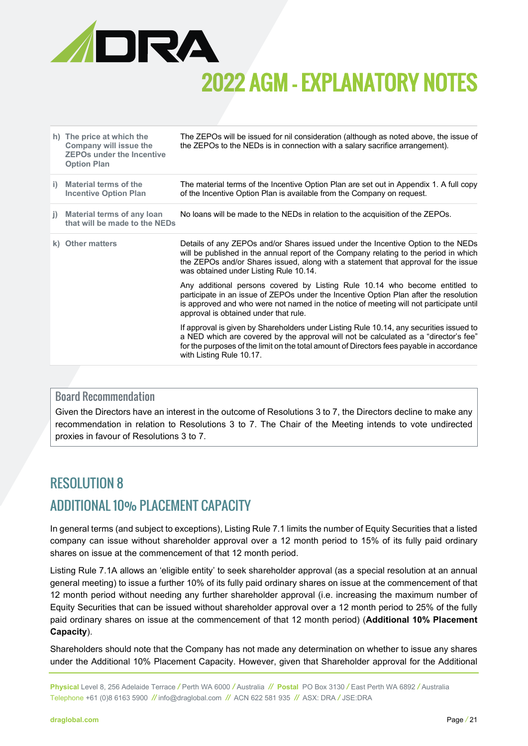

|    | h) The price at which the<br>Company will issue the<br><b>ZEPOs under the Incentive</b><br><b>Option Plan</b> | The ZEPOs will be issued for nil consideration (although as noted above, the issue of<br>the ZEPOs to the NEDs is in connection with a salary sacrifice arrangement).                                                                                                                                     |
|----|---------------------------------------------------------------------------------------------------------------|-----------------------------------------------------------------------------------------------------------------------------------------------------------------------------------------------------------------------------------------------------------------------------------------------------------|
| i) | Material terms of the<br><b>Incentive Option Plan</b>                                                         | The material terms of the Incentive Option Plan are set out in Appendix 1. A full copy<br>of the Incentive Option Plan is available from the Company on request.                                                                                                                                          |
| j) | Material terms of any loan<br>that will be made to the NEDs                                                   | No loans will be made to the NEDs in relation to the acquisition of the ZEPOs.                                                                                                                                                                                                                            |
|    | k) Other matters                                                                                              | Details of any ZEPOs and/or Shares issued under the Incentive Option to the NEDs<br>will be published in the annual report of the Company relating to the period in which<br>the ZEPOs and/or Shares issued, along with a statement that approval for the issue<br>was obtained under Listing Rule 10.14. |
|    |                                                                                                               | Any additional persons covered by Listing Rule 10.14 who become entitled to<br>participate in an issue of ZEPOs under the Incentive Option Plan after the resolution<br>is approved and who were not named in the notice of meeting will not participate until<br>approval is obtained under that rule.   |
|    |                                                                                                               | If approval is given by Shareholders under Listing Rule 10.14, any securities issued to<br>a NED which are covered by the approval will not be calculated as a "director's fee"<br>for the purposes of the limit on the total amount of Directors fees payable in accordance<br>with Listing Rule 10.17.  |

#### Board Recommendation

Given the Directors have an interest in the outcome of Resolutions 3 to 7, the Directors decline to make any recommendation in relation to Resolutions 3 to 7. The Chair of the Meeting intends to vote undirected proxies in favour of Resolutions 3 to 7.

### RESOLUTION 8 ADDITIONAL 10% PLACEMENT CAPACITY

In general terms (and subject to exceptions), Listing Rule 7.1 limits the number of Equity Securities that a listed company can issue without shareholder approval over a 12 month period to 15% of its fully paid ordinary shares on issue at the commencement of that 12 month period.

Listing Rule 7.1A allows an 'eligible entity' to seek shareholder approval (as a special resolution at an annual general meeting) to issue a further 10% of its fully paid ordinary shares on issue at the commencement of that 12 month period without needing any further shareholder approval (i.e. increasing the maximum number of Equity Securities that can be issued without shareholder approval over a 12 month period to 25% of the fully paid ordinary shares on issue at the commencement of that 12 month period) (**Additional 10% Placement Capacity**).

Shareholders should note that the Company has not made any determination on whether to issue any shares under the Additional 10% Placement Capacity. However, given that Shareholder approval for the Additional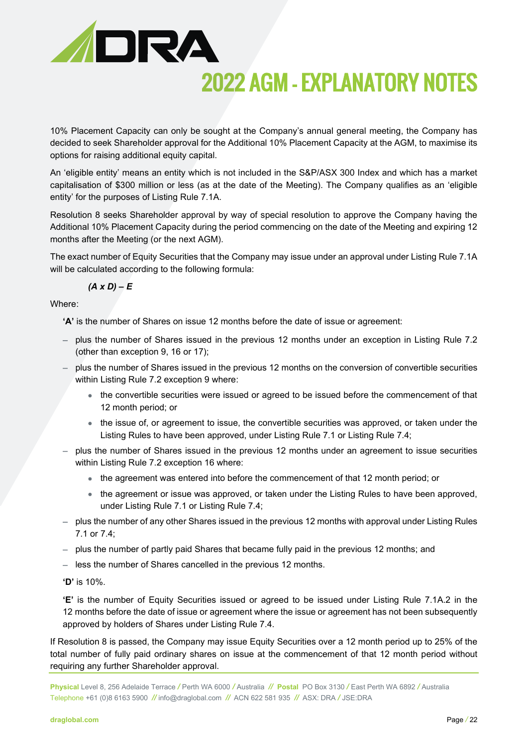

10% Placement Capacity can only be sought at the Company's annual general meeting, the Company has decided to seek Shareholder approval for the Additional 10% Placement Capacity at the AGM, to maximise its options for raising additional equity capital.

An 'eligible entity' means an entity which is not included in the S&P/ASX 300 Index and which has a market capitalisation of \$300 million or less (as at the date of the Meeting). The Company qualifies as an 'eligible entity' for the purposes of Listing Rule 7.1A.

Resolution 8 seeks Shareholder approval by way of special resolution to approve the Company having the Additional 10% Placement Capacity during the period commencing on the date of the Meeting and expiring 12 months after the Meeting (or the next AGM).

The exact number of Equity Securities that the Company may issue under an approval under Listing Rule 7.1A will be calculated according to the following formula:

$$
(A \times D) - E
$$

Where:

**'A'** is the number of Shares on issue 12 months before the date of issue or agreement:

- − plus the number of Shares issued in the previous 12 months under an exception in Listing Rule 7.2 (other than exception 9, 16 or 17);
- − plus the number of Shares issued in the previous 12 months on the conversion of convertible securities within Listing Rule 7.2 exception 9 where:
	- the convertible securities were issued or agreed to be issued before the commencement of that 12 month period; or
	- the issue of, or agreement to issue, the convertible securities was approved, or taken under the Listing Rules to have been approved, under Listing Rule 7.1 or Listing Rule 7.4;
- − plus the number of Shares issued in the previous 12 months under an agreement to issue securities within Listing Rule 7.2 exception 16 where:
	- the agreement was entered into before the commencement of that 12 month period; or
	- the agreement or issue was approved, or taken under the Listing Rules to have been approved, under Listing Rule 7.1 or Listing Rule 7.4;
- − plus the number of any other Shares issued in the previous 12 months with approval under Listing Rules 7.1 or 7.4;
- − plus the number of partly paid Shares that became fully paid in the previous 12 months; and
- − less the number of Shares cancelled in the previous 12 months.
- **'D'** is 10%.

**'E'** is the number of Equity Securities issued or agreed to be issued under Listing Rule 7.1A.2 in the 12 months before the date of issue or agreement where the issue or agreement has not been subsequently approved by holders of Shares under Listing Rule 7.4.

If Resolution 8 is passed, the Company may issue Equity Securities over a 12 month period up to 25% of the total number of fully paid ordinary shares on issue at the commencement of that 12 month period without requiring any further Shareholder approval.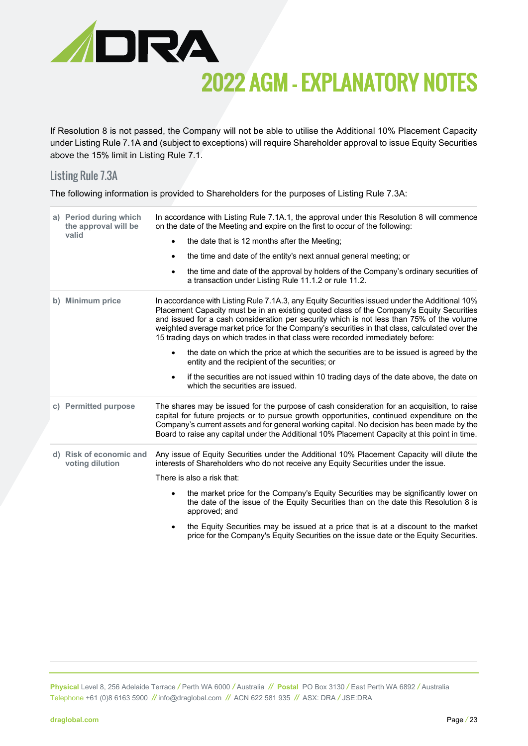

If Resolution 8 is not passed, the Company will not be able to utilise the Additional 10% Placement Capacity under Listing Rule 7.1A and (subject to exceptions) will require Shareholder approval to issue Equity Securities above the 15% limit in Listing Rule 7.1.

#### Listing Rule 7.3A

The following information is provided to Shareholders for the purposes of Listing Rule 7.3A:

| a) Period during which<br>the approval will be<br>valid | In accordance with Listing Rule 7.1A.1, the approval under this Resolution 8 will commence<br>on the date of the Meeting and expire on the first to occur of the following:<br>the date that is 12 months after the Meeting;<br>$\bullet$<br>the time and date of the entity's next annual general meeting; or<br>$\bullet$<br>the time and date of the approval by holders of the Company's ordinary securities of<br>$\bullet$<br>a transaction under Listing Rule 11.1.2 or rule 11.2.                                                                                                                                                                                                                                                                                      |
|---------------------------------------------------------|--------------------------------------------------------------------------------------------------------------------------------------------------------------------------------------------------------------------------------------------------------------------------------------------------------------------------------------------------------------------------------------------------------------------------------------------------------------------------------------------------------------------------------------------------------------------------------------------------------------------------------------------------------------------------------------------------------------------------------------------------------------------------------|
| b) Minimum price                                        | In accordance with Listing Rule 7.1A.3, any Equity Securities issued under the Additional 10%<br>Placement Capacity must be in an existing quoted class of the Company's Equity Securities<br>and issued for a cash consideration per security which is not less than 75% of the volume<br>weighted average market price for the Company's securities in that class, calculated over the<br>15 trading days on which trades in that class were recorded immediately before:<br>the date on which the price at which the securities are to be issued is agreed by the<br>$\bullet$<br>entity and the recipient of the securities; or<br>if the securities are not issued within 10 trading days of the date above, the date on<br>$\bullet$<br>which the securities are issued. |
| c) Permitted purpose                                    | The shares may be issued for the purpose of cash consideration for an acquisition, to raise<br>capital for future projects or to pursue growth opportunities, continued expenditure on the<br>Company's current assets and for general working capital. No decision has been made by the<br>Board to raise any capital under the Additional 10% Placement Capacity at this point in time.                                                                                                                                                                                                                                                                                                                                                                                      |
| d) Risk of economic and<br>voting dilution              | Any issue of Equity Securities under the Additional 10% Placement Capacity will dilute the<br>interests of Shareholders who do not receive any Equity Securities under the issue.<br>There is also a risk that:<br>the market price for the Company's Equity Securities may be significantly lower on<br>$\bullet$<br>the date of the issue of the Equity Securities than on the date this Resolution 8 is<br>approved; and<br>the Equity Securities may be issued at a price that is at a discount to the market<br>$\bullet$<br>price for the Company's Equity Securities on the issue date or the Equity Securities.                                                                                                                                                        |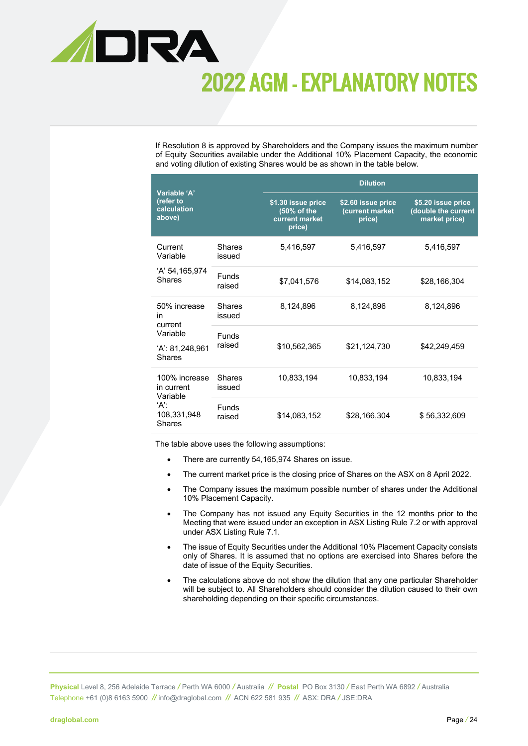

If Resolution 8 is approved by Shareholders and the Company issues the maximum number of Equity Securities available under the Additional 10% Placement Capacity, the economic and voting dilution of existing Shares would be as shown in the table below.

| Variable 'A'                                   |                        | <b>Dilution</b>                                               |                                                 |                                                            |  |
|------------------------------------------------|------------------------|---------------------------------------------------------------|-------------------------------------------------|------------------------------------------------------------|--|
| (refer to<br>calculation<br>above)             |                        | \$1.30 issue price<br>(50% of the<br>current market<br>price) | \$2.60 issue price<br>(current market<br>price) | \$5.20 issue price<br>(double the current<br>market price) |  |
| Current<br>Variable                            | Shares<br>issued       | 5,416,597                                                     | 5,416,597                                       | 5,416,597                                                  |  |
| 'A' 54,165,974<br><b>Shares</b>                | Funds<br>raised        | \$7,041,576                                                   | \$14,083,152                                    | \$28,166,304                                               |  |
| 50% increase<br>in<br>current                  | Shares<br>issued       | 8,124,896                                                     | 8,124,896                                       | 8,124,896                                                  |  |
| Variable<br>$'A$ : 81,248,961<br><b>Shares</b> | <b>Funds</b><br>raised | \$10,562,365                                                  | \$21,124,730                                    | \$42,249,459                                               |  |
| 100% increase<br>in current<br>Variable        | Shares<br>issued       | 10,833,194                                                    | 10,833,194                                      | 10,833,194                                                 |  |
| 'Α':<br>108,331,948<br><b>Shares</b>           | <b>Funds</b><br>raised | \$14,083,152                                                  | \$28,166,304                                    | \$56,332,609                                               |  |

The table above uses the following assumptions:

- There are currently 54,165,974 Shares on issue.
- The current market price is the closing price of Shares on the ASX on 8 April 2022.
- The Company issues the maximum possible number of shares under the Additional 10% Placement Capacity.
- The Company has not issued any Equity Securities in the 12 months prior to the Meeting that were issued under an exception in ASX Listing Rule 7.2 or with approval under ASX Listing Rule 7.1.
- The issue of Equity Securities under the Additional 10% Placement Capacity consists only of Shares. It is assumed that no options are exercised into Shares before the date of issue of the Equity Securities.
- The calculations above do not show the dilution that any one particular Shareholder will be subject to. All Shareholders should consider the dilution caused to their own shareholding depending on their specific circumstances.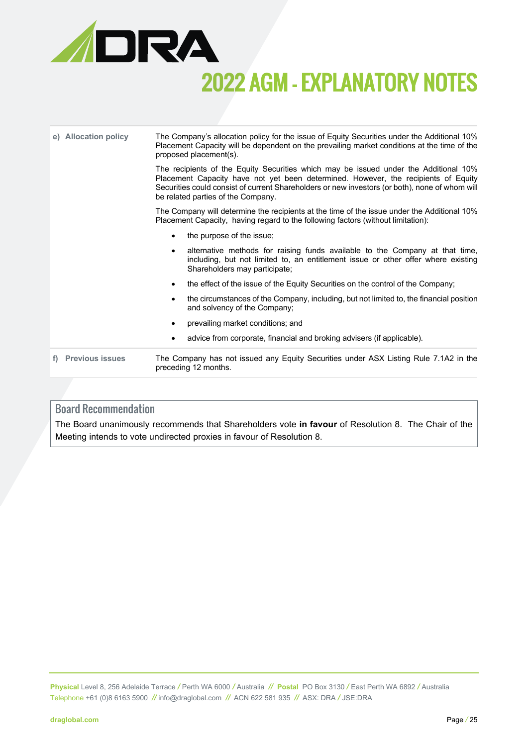

| e) Allocation policy   | The Company's allocation policy for the issue of Equity Securities under the Additional 10%<br>Placement Capacity will be dependent on the prevailing market conditions at the time of the<br>proposed placement(s). |                                                                                                                                                                                                                                                                                                                    |  |
|------------------------|----------------------------------------------------------------------------------------------------------------------------------------------------------------------------------------------------------------------|--------------------------------------------------------------------------------------------------------------------------------------------------------------------------------------------------------------------------------------------------------------------------------------------------------------------|--|
|                        |                                                                                                                                                                                                                      | The recipients of the Equity Securities which may be issued under the Additional 10%<br>Placement Capacity have not yet been determined. However, the recipients of Equity<br>Securities could consist of current Shareholders or new investors (or both), none of whom will<br>be related parties of the Company. |  |
|                        | The Company will determine the recipients at the time of the issue under the Additional 10%<br>Placement Capacity, having regard to the following factors (without limitation):                                      |                                                                                                                                                                                                                                                                                                                    |  |
|                        | $\bullet$                                                                                                                                                                                                            | the purpose of the issue;                                                                                                                                                                                                                                                                                          |  |
|                        | $\bullet$                                                                                                                                                                                                            | alternative methods for raising funds available to the Company at that time,<br>including, but not limited to, an entitlement issue or other offer where existing<br>Shareholders may participate;                                                                                                                 |  |
|                        | $\bullet$                                                                                                                                                                                                            | the effect of the issue of the Equity Securities on the control of the Company;                                                                                                                                                                                                                                    |  |
|                        | $\bullet$                                                                                                                                                                                                            | the circumstances of the Company, including, but not limited to, the financial position<br>and solvency of the Company;                                                                                                                                                                                            |  |
|                        | $\bullet$                                                                                                                                                                                                            | prevailing market conditions; and                                                                                                                                                                                                                                                                                  |  |
|                        |                                                                                                                                                                                                                      | advice from corporate, financial and broking advisers (if applicable).                                                                                                                                                                                                                                             |  |
| <b>Previous issues</b> | The Company has not issued any Equity Securities under ASX Listing Rule 7.1A2 in the<br>preceding 12 months.                                                                                                         |                                                                                                                                                                                                                                                                                                                    |  |

#### Board Recommendation

The Board unanimously recommends that Shareholders vote **in favour** of Resolution 8. The Chair of the Meeting intends to vote undirected proxies in favour of Resolution 8.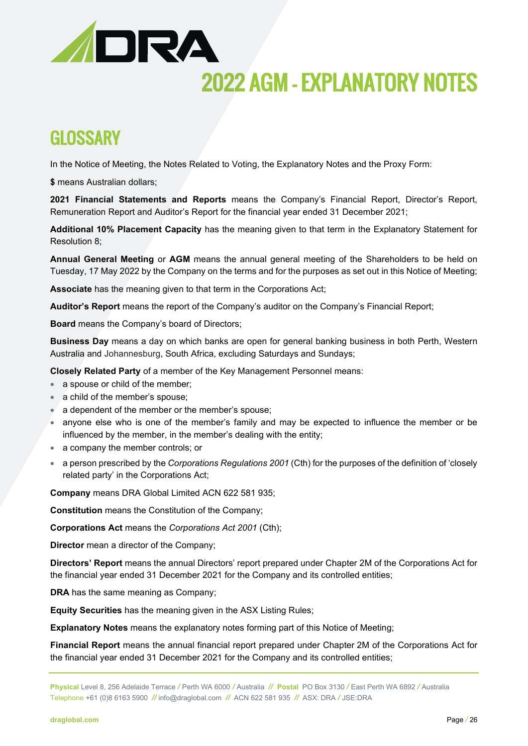

### **GLOSSARY**

In the Notice of Meeting, the Notes Related to Voting, the Explanatory Notes and the Proxy Form:

**\$** means Australian dollars;

**2021 Financial Statements and Reports** means the Company's Financial Report, Director's Report, Remuneration Report and Auditor's Report for the financial year ended 31 December 2021;

**Additional 10% Placement Capacity** has the meaning given to that term in the Explanatory Statement for Resolution 8;

**Annual General Meeting** or **AGM** means the annual general meeting of the Shareholders to be held on Tuesday, 17 May 2022 by the Company on the terms and for the purposes as set out in this Notice of Meeting;

**Associate** has the meaning given to that term in the Corporations Act;

**Auditor's Report** means the report of the Company's auditor on the Company's Financial Report;

**Board** means the Company's board of Directors;

**Business Day** means a day on which banks are open for general banking business in both Perth, Western Australia and Johannesburg, South Africa, excluding Saturdays and Sundays;

**Closely Related Party** of a member of the Key Management Personnel means:

- a spouse or child of the member;
- a child of the member's spouse;
- a dependent of the member or the member's spouse;
- anyone else who is one of the member's family and may be expected to influence the member or be influenced by the member, in the member's dealing with the entity;
- a company the member controls; or
- a person prescribed by the *Corporations Regulations 2001* (Cth) for the purposes of the definition of 'closely related party' in the Corporations Act;

**Company** means DRA Global Limited ACN 622 581 935;

**Constitution** means the Constitution of the Company;

**Corporations Act** means the *Corporations Act 2001* (Cth);

**Director** mean a director of the Company;

**Directors' Report** means the annual Directors' report prepared under Chapter 2M of the Corporations Act for the financial year ended 31 December 2021 for the Company and its controlled entities;

**DRA** has the same meaning as Company;

**Equity Securities** has the meaning given in the ASX Listing Rules;

**Explanatory Notes** means the explanatory notes forming part of this Notice of Meeting;

**Financial Report** means the annual financial report prepared under Chapter 2M of the Corporations Act for the financial year ended 31 December 2021 for the Company and its controlled entities;

**Physical** Level 8, 256 Adelaide Terrace */* Perth WA 6000 */* Australia *//* **Postal** PO Box 3130 */* East Perth WA 6892 */* Australia Telephone +61 (0)8 6163 5900 *//* [info@draglobal.com](mailto:info@draglobal.com) *//* ACN 622 581 935*//* ASX: DRA */* JSE:DRA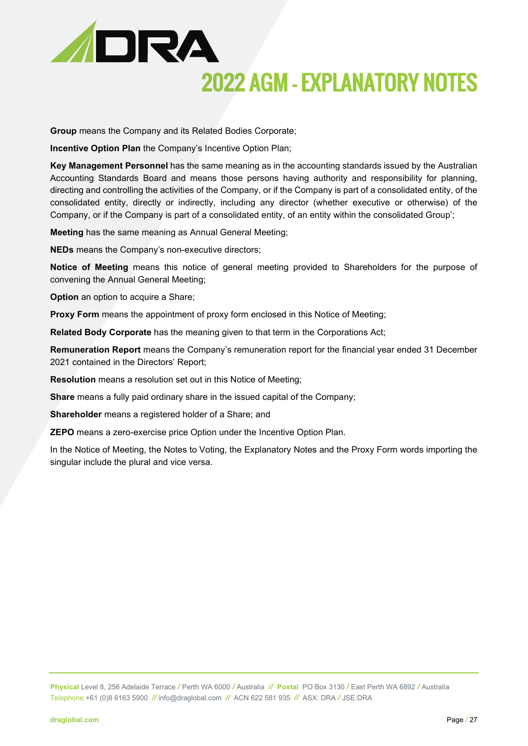

**Group** means the Company and its Related Bodies Corporate;

**Incentive Option Plan** the Company's Incentive Option Plan;

**Key Management Personnel** has the same meaning as in the accounting standards issued by the Australian Accounting Standards Board and means those persons having authority and responsibility for planning, directing and controlling the activities of the Company, or if the Company is part of a consolidated entity, of the consolidated entity, directly or indirectly, including any director (whether executive or otherwise) of the Company, or if the Company is part of a consolidated entity, of an entity within the consolidated Group';

**Meeting** has the same meaning as Annual General Meeting;

**NEDs** means the Company's non-executive directors;

**Notice of Meeting** means this notice of general meeting provided to Shareholders for the purpose of convening the Annual General Meeting;

**Option** an option to acquire a Share;

**Proxy Form** means the appointment of proxy form enclosed in this Notice of Meeting;

**Related Body Corporate** has the meaning given to that term in the Corporations Act;

**Remuneration Report** means the Company's remuneration report for the financial year ended 31 December 2021 contained in the Directors' Report;

**Resolution** means a resolution set out in this Notice of Meeting;

**Share** means a fully paid ordinary share in the issued capital of the Company;

**Shareholder** means a registered holder of a Share; and

**ZEPO** means a zero-exercise price Option under the Incentive Option Plan.

In the Notice of Meeting, the Notes to Voting, the Explanatory Notes and the Proxy Form words importing the singular include the plural and vice versa.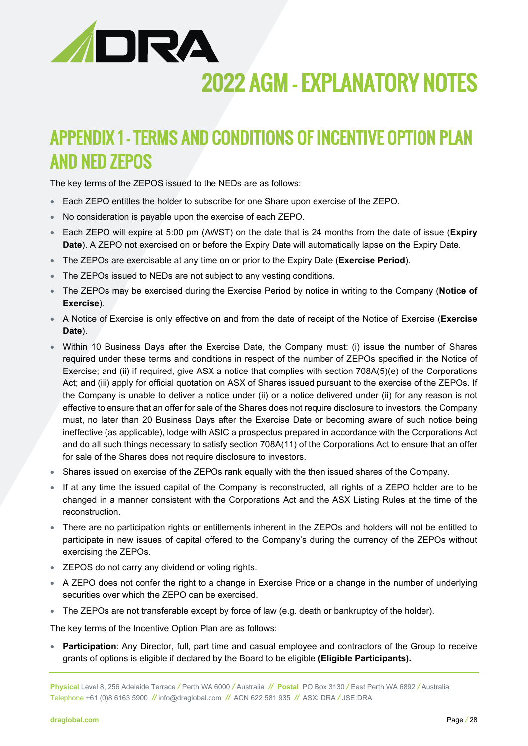

## APPENDIX 1 – TERMS AND CONDITIONS OF INCENTIVE OPTION PLAN AND NED ZEPOS

The key terms of the ZEPOS issued to the NEDs are as follows:

- Each ZEPO entitles the holder to subscribe for one Share upon exercise of the ZEPO.
- No consideration is payable upon the exercise of each ZEPO.
- Each ZEPO will expire at 5:00 pm (AWST) on the date that is 24 months from the date of issue (**Expiry Date**). A ZEPO not exercised on or before the Expiry Date will automatically lapse on the Expiry Date.
- The ZEPOs are exercisable at any time on or prior to the Expiry Date (**Exercise Period**).
- The ZEPOs issued to NEDs are not subject to any vesting conditions.
- The ZEPOs may be exercised during the Exercise Period by notice in writing to the Company (**Notice of Exercise**).
- A Notice of Exercise is only effective on and from the date of receipt of the Notice of Exercise (**Exercise Date**).
- Within 10 Business Days after the Exercise Date, the Company must: (i) issue the number of Shares required under these terms and conditions in respect of the number of ZEPOs specified in the Notice of Exercise; and (ii) if required, give ASX a notice that complies with section 708A(5)(e) of the Corporations Act; and (iii) apply for official quotation on ASX of Shares issued pursuant to the exercise of the ZEPOs. If the Company is unable to deliver a notice under (ii) or a notice delivered under (ii) for any reason is not effective to ensure that an offer for sale of the Shares does not require disclosure to investors, the Company must, no later than 20 Business Days after the Exercise Date or becoming aware of such notice being ineffective (as applicable), lodge with ASIC a prospectus prepared in accordance with the Corporations Act and do all such things necessary to satisfy section 708A(11) of the Corporations Act to ensure that an offer for sale of the Shares does not require disclosure to investors.
- Shares issued on exercise of the ZEPOs rank equally with the then issued shares of the Company.
- If at any time the issued capital of the Company is reconstructed, all rights of a ZEPO holder are to be changed in a manner consistent with the Corporations Act and the ASX Listing Rules at the time of the reconstruction.
- There are no participation rights or entitlements inherent in the ZEPOs and holders will not be entitled to participate in new issues of capital offered to the Company's during the currency of the ZEPOs without exercising the ZEPOs.
- ZEPOS do not carry any dividend or voting rights.
- A ZEPO does not confer the right to a change in Exercise Price or a change in the number of underlying securities over which the ZEPO can be exercised.
- The ZEPOs are not transferable except by force of law (e.g. death or bankruptcy of the holder).

The key terms of the Incentive Option Plan are as follows:

• **Participation**: Any Director, full, part time and casual employee and contractors of the Group to receive grants of options is eligible if declared by the Board to be eligible **(Eligible Participants).**